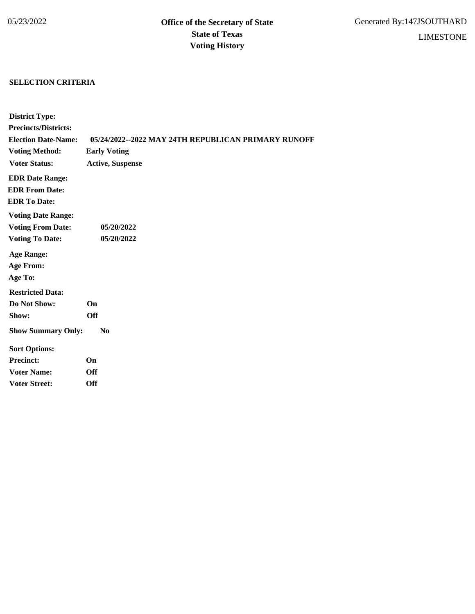## **SELECTION CRITERIA**

| <b>District Type:</b>       |                                                     |
|-----------------------------|-----------------------------------------------------|
| <b>Precincts/Districts:</b> |                                                     |
| <b>Election Date-Name:</b>  | 05/24/2022--2022 MAY 24TH REPUBLICAN PRIMARY RUNOFF |
| <b>Voting Method:</b>       | <b>Early Voting</b>                                 |
| <b>Voter Status:</b>        | <b>Active, Suspense</b>                             |
| <b>EDR Date Range:</b>      |                                                     |
| <b>EDR From Date:</b>       |                                                     |
| <b>EDR To Date:</b>         |                                                     |
| <b>Voting Date Range:</b>   |                                                     |
| <b>Voting From Date:</b>    | 05/20/2022                                          |
| <b>Voting To Date:</b>      | 05/20/2022                                          |
| <b>Age Range:</b>           |                                                     |
| <b>Age From:</b>            |                                                     |
| Age To:                     |                                                     |
| <b>Restricted Data:</b>     |                                                     |
| Do Not Show:                | On                                                  |
| Show:                       | <b>Off</b>                                          |
| <b>Show Summary Only:</b>   | N <sub>0</sub>                                      |
| <b>Sort Options:</b>        |                                                     |
| <b>Precinct:</b>            | On                                                  |
| <b>Voter Name:</b>          | Off                                                 |
| <b>Voter Street:</b>        | <b>Off</b>                                          |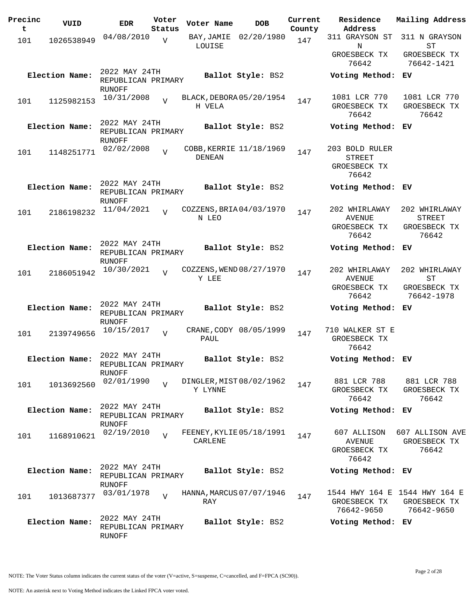| Precinc<br>t | VUID           | <b>EDR</b>                                           | Voter<br>Status | Voter Name                               | <b>DOB</b>             | Current<br>County | Residence<br>Address                                     | Mailing Address                                             |
|--------------|----------------|------------------------------------------------------|-----------------|------------------------------------------|------------------------|-------------------|----------------------------------------------------------|-------------------------------------------------------------|
| 101          | 1026538949     | 04/08/2010                                           | $\overline{V}$  | BAY,JAMIE                                | 02/20/1980             | 147               | 311 GRAYSON ST                                           | 311 N GRAYSON                                               |
|              |                |                                                      |                 | LOUISE                                   |                        |                   | N<br>GROESBECK TX<br>76642                               | ST<br>GROESBECK TX<br>76642-1421                            |
|              | Election Name: | 2022 MAY 24TH<br>REPUBLICAN PRIMARY<br>RUNOFF        |                 |                                          | Ballot Style: BS2      |                   | Voting Method: EV                                        |                                                             |
| 101          | 1125982153     | 10/31/2008                                           | $\overline{V}$  | BLACK, DEBORA 05/20/1954<br>H VELA       |                        | 147               | 1081 LCR 770<br>GROESBECK TX<br>76642                    | 1081 LCR 770<br>GROESBECK TX<br>76642                       |
|              | Election Name: | 2022 MAY 24TH<br>REPUBLICAN PRIMARY<br>RUNOFF        |                 |                                          | Ballot Style: BS2      |                   | Voting Method: EV                                        |                                                             |
| 101          | 1148251771     | 02/02/2008                                           | $\overline{U}$  | COBB, KERRIE 11/18/1969<br><b>DENEAN</b> |                        | 147               | 203 BOLD RULER<br><b>STREET</b><br>GROESBECK TX<br>76642 |                                                             |
|              | Election Name: | 2022 MAY 24TH<br>REPUBLICAN PRIMARY<br>RUNOFF        |                 |                                          | Ballot Style: BS2      |                   | Voting Method: EV                                        |                                                             |
| 101          | 2186198232     | 11/04/2021                                           | $\overline{U}$  | COZZENS, BRIA 04/03/1970<br>N LEO        |                        | 147               | 202 WHIRLAWAY<br><b>AVENUE</b><br>GROESBECK TX<br>76642  | 202 WHIRLAWAY<br><b>STREET</b><br>GROESBECK TX<br>76642     |
|              | Election Name: | 2022 MAY 24TH<br>REPUBLICAN PRIMARY<br><b>RUNOFF</b> |                 |                                          | Ballot Style: BS2      |                   | Voting Method: EV                                        |                                                             |
| 101          | 2186051942     | 10/30/2021                                           | $\overline{z}$  | COZZENS, WEND 08/27/1970<br>Y LEE        |                        | 147               | 202 WHIRLAWAY<br><b>AVENUE</b><br>GROESBECK TX<br>76642  | 202 WHIRLAWAY<br>SТ<br>GROESBECK TX<br>76642-1978           |
|              | Election Name: | 2022 MAY 24TH<br>REPUBLICAN PRIMARY<br>RUNOFF        |                 |                                          | Ballot Style: BS2      |                   | Voting Method: EV                                        |                                                             |
| 101          | 2139749656     | 10/15/2017                                           | $\overline{v}$  | PAUL                                     | CRANE, CODY 08/05/1999 | 147               | 710 WALKER ST E<br>GROESBECK TX<br>76642                 |                                                             |
|              | Election Name: | 2022 MAY 24TH<br>REPUBLICAN PRIMARY<br>RUNOFF        |                 |                                          | Ballot Style: BS2      |                   | Voting Method: EV                                        |                                                             |
| 101          | 1013692560     | 02/01/1990                                           | $\overline{U}$  | DINGLER, MIST 08/02/1962<br>Y LYNNE      |                        | 147               | 881 LCR 788<br>GROESBECK TX<br>76642                     | 881 LCR 788<br>GROESBECK TX<br>76642                        |
|              | Election Name: | 2022 MAY 24TH<br>REPUBLICAN PRIMARY<br>RUNOFF        |                 |                                          | Ballot Style: BS2      |                   | Voting Method: EV                                        |                                                             |
| 101          | 1168910621     | 02/19/2010                                           | $\overline{U}$  | FEENEY, KYLIE 05/18/1991<br>CARLENE      |                        | 147               | 607 ALLISON<br>AVENUE<br>GROESBECK TX<br>76642           | 607 ALLISON AVE<br>GROESBECK TX<br>76642                    |
|              | Election Name: | 2022 MAY 24TH<br>REPUBLICAN PRIMARY<br>RUNOFF        |                 |                                          | Ballot Style: BS2      |                   | Voting Method: EV                                        |                                                             |
| 101          | 1013687377     | 03/01/1978                                           | $\overline{V}$  | HANNA, MARCUS 07/07/1946<br>RAY          |                        | 147               | GROESBECK TX<br>76642-9650                               | 1544 HWY 164 E 1544 HWY 164 E<br>GROESBECK TX<br>76642-9650 |
|              | Election Name: | 2022 MAY 24TH<br>REPUBLICAN PRIMARY<br>RUNOFF        |                 |                                          | Ballot Style: BS2      |                   | Voting Method: EV                                        |                                                             |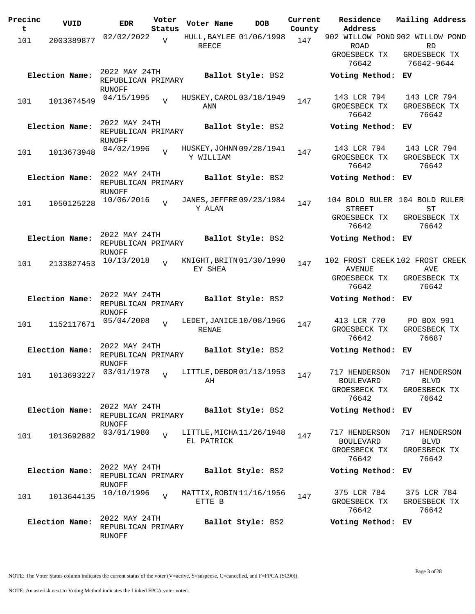| 02/02/2022<br>902 WILLOW POND 902 WILLOW POND<br>HULL, BAYLEE 01/06/1998<br>$\overline{V}$<br>147<br>101<br>2003389877<br>REECE<br><b>RD</b><br>ROAD<br>GROESBECK TX<br>GROESBECK TX<br>76642<br>76642-9644<br>2022 MAY 24TH<br>Election Name:<br>Ballot Style: BS2<br>Voting Method: EV<br>REPUBLICAN PRIMARY<br>RUNOFF<br>143 LCR 794<br>143 LCR 794<br>04/15/1995<br>HUSKEY, CAROL 03/18/1949<br>$\overline{V}$<br>1013674549<br>147<br>101<br>ANN<br>GROESBECK TX<br>GROESBECK TX<br>76642<br>76642<br>2022 MAY 24TH<br>Election Name:<br>Ballot Style: BS2<br>Voting Method:<br>EV.<br>REPUBLICAN PRIMARY<br>RUNOFF<br>143 LCR 794<br>143 LCR 794<br>04/02/1996<br>HUSKEY, JOHNN 09/28/1941<br>$\overline{z}$<br>147<br>1013673948<br>101<br>Y WILLIAM<br>GROESBECK TX<br>GROESBECK TX<br>76642<br>76642<br>2022 MAY 24TH<br>Election Name:<br>Ballot Style: BS2<br>Voting Method: EV<br>REPUBLICAN PRIMARY<br><b>RUNOFF</b><br>10/06/2016<br>JANES, JEFFRE 09/23/1984<br>104 BOLD RULER 104 BOLD RULER<br>$\overline{V}$<br>147<br>1050125228<br>101<br>Y ALAN<br>ST<br>STREET<br>GROESBECK TX<br>GROESBECK TX<br>76642<br>76642<br>2022 MAY 24TH<br>Election Name:<br>Ballot Style: BS2<br>Voting Method: EV<br>REPUBLICAN PRIMARY<br>RUNOFF<br>102 FROST CREEK 102 FROST CREEK<br>10/13/2018<br>KNIGHT, BRITN 01/30/1990<br>$\overline{z}$<br>147<br>2133827453<br>101<br>EY SHEA<br><b>AVENUE</b><br>AVE<br>GROESBECK TX<br>GROESBECK TX<br>76642<br>76642<br>2022 MAY 24TH<br>Election Name:<br>Ballot Style: BS2<br>Voting Method: EV<br>REPUBLICAN PRIMARY<br>RUNOFF<br>413 LCR 770<br>PO BOX 991<br>05/04/2008<br>LEDET, JANICE 10/08/1966<br>$\overline{V}$<br>1152117671<br>147<br>101<br>RENAE<br>GROESBECK TX<br>GROESBECK TX<br>76642<br>76687<br>2022 MAY 24TH<br>Election Name:<br>Ballot Style: BS2<br>Voting Method:<br>ЕV<br>REPUBLICAN PRIMARY<br><b>RUNOFF</b><br>03/01/1978<br>LITTLE, DEBOR 01/13/1953<br>717 HENDERSON<br>717 HENDERSON<br>$\overline{v}$<br>147<br>1013693227<br>101<br>AH<br><b>BOULEVARD</b><br><b>BLVD</b><br>GROESBECK TX<br>GROESBECK TX<br>76642<br>76642<br>2022 MAY 24TH<br>Election Name:<br>Ballot Style: BS2<br>Voting Method: EV<br>REPUBLICAN PRIMARY<br>RUNOFF<br>03/01/1980<br>LITTLE, MICHA 11/26/1948<br>717 HENDERSON<br>717 HENDERSON<br>$\overline{z}$<br>147<br>1013692882<br>101<br>EL PATRICK<br><b>BOULEVARD</b><br><b>BLVD</b><br>GROESBECK TX<br>GROESBECK TX<br>76642<br>76642<br>2022 MAY 24TH<br>Election Name:<br>Ballot Style: BS2<br>Voting Method: EV<br>REPUBLICAN PRIMARY<br>RUNOFF<br>375 LCR 784<br>375 LCR 784<br>10/10/1996<br>MATTIX, ROBIN 11/16/1956<br>$\overline{V}$<br>1013644135<br>147<br>101<br>ETTE B<br>GROESBECK TX<br>GROESBECK TX<br>76642<br>76642<br>2022 MAY 24TH<br>Election Name:<br>Ballot Style: BS2<br>Voting Method: EV<br>REPUBLICAN PRIMARY | Precinc<br>t | VUID | <b>EDR</b> | Voter<br>Status | Voter Name | <b>DOB</b> | Current<br>County | Residence<br>Address | Mailing Address |
|----------------------------------------------------------------------------------------------------------------------------------------------------------------------------------------------------------------------------------------------------------------------------------------------------------------------------------------------------------------------------------------------------------------------------------------------------------------------------------------------------------------------------------------------------------------------------------------------------------------------------------------------------------------------------------------------------------------------------------------------------------------------------------------------------------------------------------------------------------------------------------------------------------------------------------------------------------------------------------------------------------------------------------------------------------------------------------------------------------------------------------------------------------------------------------------------------------------------------------------------------------------------------------------------------------------------------------------------------------------------------------------------------------------------------------------------------------------------------------------------------------------------------------------------------------------------------------------------------------------------------------------------------------------------------------------------------------------------------------------------------------------------------------------------------------------------------------------------------------------------------------------------------------------------------------------------------------------------------------------------------------------------------------------------------------------------------------------------------------------------------------------------------------------------------------------------------------------------------------------------------------------------------------------------------------------------------------------------------------------------------------------------------------------------------------------------------------------------------------------------------------------------------------------------------------------------------------------------------------------------------------------------------------------------------------------------------------------------------------------------------------------------------------------------------------------------------------------------------------|--------------|------|------------|-----------------|------------|------------|-------------------|----------------------|-----------------|
|                                                                                                                                                                                                                                                                                                                                                                                                                                                                                                                                                                                                                                                                                                                                                                                                                                                                                                                                                                                                                                                                                                                                                                                                                                                                                                                                                                                                                                                                                                                                                                                                                                                                                                                                                                                                                                                                                                                                                                                                                                                                                                                                                                                                                                                                                                                                                                                                                                                                                                                                                                                                                                                                                                                                                                                                                                                          |              |      |            |                 |            |            |                   |                      |                 |
|                                                                                                                                                                                                                                                                                                                                                                                                                                                                                                                                                                                                                                                                                                                                                                                                                                                                                                                                                                                                                                                                                                                                                                                                                                                                                                                                                                                                                                                                                                                                                                                                                                                                                                                                                                                                                                                                                                                                                                                                                                                                                                                                                                                                                                                                                                                                                                                                                                                                                                                                                                                                                                                                                                                                                                                                                                                          |              |      |            |                 |            |            |                   |                      |                 |
|                                                                                                                                                                                                                                                                                                                                                                                                                                                                                                                                                                                                                                                                                                                                                                                                                                                                                                                                                                                                                                                                                                                                                                                                                                                                                                                                                                                                                                                                                                                                                                                                                                                                                                                                                                                                                                                                                                                                                                                                                                                                                                                                                                                                                                                                                                                                                                                                                                                                                                                                                                                                                                                                                                                                                                                                                                                          |              |      |            |                 |            |            |                   |                      |                 |
|                                                                                                                                                                                                                                                                                                                                                                                                                                                                                                                                                                                                                                                                                                                                                                                                                                                                                                                                                                                                                                                                                                                                                                                                                                                                                                                                                                                                                                                                                                                                                                                                                                                                                                                                                                                                                                                                                                                                                                                                                                                                                                                                                                                                                                                                                                                                                                                                                                                                                                                                                                                                                                                                                                                                                                                                                                                          |              |      |            |                 |            |            |                   |                      |                 |
|                                                                                                                                                                                                                                                                                                                                                                                                                                                                                                                                                                                                                                                                                                                                                                                                                                                                                                                                                                                                                                                                                                                                                                                                                                                                                                                                                                                                                                                                                                                                                                                                                                                                                                                                                                                                                                                                                                                                                                                                                                                                                                                                                                                                                                                                                                                                                                                                                                                                                                                                                                                                                                                                                                                                                                                                                                                          |              |      |            |                 |            |            |                   |                      |                 |
|                                                                                                                                                                                                                                                                                                                                                                                                                                                                                                                                                                                                                                                                                                                                                                                                                                                                                                                                                                                                                                                                                                                                                                                                                                                                                                                                                                                                                                                                                                                                                                                                                                                                                                                                                                                                                                                                                                                                                                                                                                                                                                                                                                                                                                                                                                                                                                                                                                                                                                                                                                                                                                                                                                                                                                                                                                                          |              |      |            |                 |            |            |                   |                      |                 |
|                                                                                                                                                                                                                                                                                                                                                                                                                                                                                                                                                                                                                                                                                                                                                                                                                                                                                                                                                                                                                                                                                                                                                                                                                                                                                                                                                                                                                                                                                                                                                                                                                                                                                                                                                                                                                                                                                                                                                                                                                                                                                                                                                                                                                                                                                                                                                                                                                                                                                                                                                                                                                                                                                                                                                                                                                                                          |              |      |            |                 |            |            |                   |                      |                 |
|                                                                                                                                                                                                                                                                                                                                                                                                                                                                                                                                                                                                                                                                                                                                                                                                                                                                                                                                                                                                                                                                                                                                                                                                                                                                                                                                                                                                                                                                                                                                                                                                                                                                                                                                                                                                                                                                                                                                                                                                                                                                                                                                                                                                                                                                                                                                                                                                                                                                                                                                                                                                                                                                                                                                                                                                                                                          |              |      |            |                 |            |            |                   |                      |                 |
|                                                                                                                                                                                                                                                                                                                                                                                                                                                                                                                                                                                                                                                                                                                                                                                                                                                                                                                                                                                                                                                                                                                                                                                                                                                                                                                                                                                                                                                                                                                                                                                                                                                                                                                                                                                                                                                                                                                                                                                                                                                                                                                                                                                                                                                                                                                                                                                                                                                                                                                                                                                                                                                                                                                                                                                                                                                          |              |      |            |                 |            |            |                   |                      |                 |
|                                                                                                                                                                                                                                                                                                                                                                                                                                                                                                                                                                                                                                                                                                                                                                                                                                                                                                                                                                                                                                                                                                                                                                                                                                                                                                                                                                                                                                                                                                                                                                                                                                                                                                                                                                                                                                                                                                                                                                                                                                                                                                                                                                                                                                                                                                                                                                                                                                                                                                                                                                                                                                                                                                                                                                                                                                                          |              |      |            |                 |            |            |                   |                      |                 |
|                                                                                                                                                                                                                                                                                                                                                                                                                                                                                                                                                                                                                                                                                                                                                                                                                                                                                                                                                                                                                                                                                                                                                                                                                                                                                                                                                                                                                                                                                                                                                                                                                                                                                                                                                                                                                                                                                                                                                                                                                                                                                                                                                                                                                                                                                                                                                                                                                                                                                                                                                                                                                                                                                                                                                                                                                                                          |              |      |            |                 |            |            |                   |                      |                 |
|                                                                                                                                                                                                                                                                                                                                                                                                                                                                                                                                                                                                                                                                                                                                                                                                                                                                                                                                                                                                                                                                                                                                                                                                                                                                                                                                                                                                                                                                                                                                                                                                                                                                                                                                                                                                                                                                                                                                                                                                                                                                                                                                                                                                                                                                                                                                                                                                                                                                                                                                                                                                                                                                                                                                                                                                                                                          |              |      |            |                 |            |            |                   |                      |                 |
|                                                                                                                                                                                                                                                                                                                                                                                                                                                                                                                                                                                                                                                                                                                                                                                                                                                                                                                                                                                                                                                                                                                                                                                                                                                                                                                                                                                                                                                                                                                                                                                                                                                                                                                                                                                                                                                                                                                                                                                                                                                                                                                                                                                                                                                                                                                                                                                                                                                                                                                                                                                                                                                                                                                                                                                                                                                          |              |      |            |                 |            |            |                   |                      |                 |
|                                                                                                                                                                                                                                                                                                                                                                                                                                                                                                                                                                                                                                                                                                                                                                                                                                                                                                                                                                                                                                                                                                                                                                                                                                                                                                                                                                                                                                                                                                                                                                                                                                                                                                                                                                                                                                                                                                                                                                                                                                                                                                                                                                                                                                                                                                                                                                                                                                                                                                                                                                                                                                                                                                                                                                                                                                                          |              |      |            |                 |            |            |                   |                      |                 |
|                                                                                                                                                                                                                                                                                                                                                                                                                                                                                                                                                                                                                                                                                                                                                                                                                                                                                                                                                                                                                                                                                                                                                                                                                                                                                                                                                                                                                                                                                                                                                                                                                                                                                                                                                                                                                                                                                                                                                                                                                                                                                                                                                                                                                                                                                                                                                                                                                                                                                                                                                                                                                                                                                                                                                                                                                                                          |              |      |            |                 |            |            |                   |                      |                 |
|                                                                                                                                                                                                                                                                                                                                                                                                                                                                                                                                                                                                                                                                                                                                                                                                                                                                                                                                                                                                                                                                                                                                                                                                                                                                                                                                                                                                                                                                                                                                                                                                                                                                                                                                                                                                                                                                                                                                                                                                                                                                                                                                                                                                                                                                                                                                                                                                                                                                                                                                                                                                                                                                                                                                                                                                                                                          |              |      |            |                 |            |            |                   |                      |                 |
|                                                                                                                                                                                                                                                                                                                                                                                                                                                                                                                                                                                                                                                                                                                                                                                                                                                                                                                                                                                                                                                                                                                                                                                                                                                                                                                                                                                                                                                                                                                                                                                                                                                                                                                                                                                                                                                                                                                                                                                                                                                                                                                                                                                                                                                                                                                                                                                                                                                                                                                                                                                                                                                                                                                                                                                                                                                          |              |      |            |                 |            |            |                   |                      |                 |
|                                                                                                                                                                                                                                                                                                                                                                                                                                                                                                                                                                                                                                                                                                                                                                                                                                                                                                                                                                                                                                                                                                                                                                                                                                                                                                                                                                                                                                                                                                                                                                                                                                                                                                                                                                                                                                                                                                                                                                                                                                                                                                                                                                                                                                                                                                                                                                                                                                                                                                                                                                                                                                                                                                                                                                                                                                                          |              |      |            |                 |            |            |                   |                      |                 |
|                                                                                                                                                                                                                                                                                                                                                                                                                                                                                                                                                                                                                                                                                                                                                                                                                                                                                                                                                                                                                                                                                                                                                                                                                                                                                                                                                                                                                                                                                                                                                                                                                                                                                                                                                                                                                                                                                                                                                                                                                                                                                                                                                                                                                                                                                                                                                                                                                                                                                                                                                                                                                                                                                                                                                                                                                                                          |              |      |            |                 |            |            |                   |                      |                 |
|                                                                                                                                                                                                                                                                                                                                                                                                                                                                                                                                                                                                                                                                                                                                                                                                                                                                                                                                                                                                                                                                                                                                                                                                                                                                                                                                                                                                                                                                                                                                                                                                                                                                                                                                                                                                                                                                                                                                                                                                                                                                                                                                                                                                                                                                                                                                                                                                                                                                                                                                                                                                                                                                                                                                                                                                                                                          |              |      |            |                 |            |            |                   |                      |                 |
|                                                                                                                                                                                                                                                                                                                                                                                                                                                                                                                                                                                                                                                                                                                                                                                                                                                                                                                                                                                                                                                                                                                                                                                                                                                                                                                                                                                                                                                                                                                                                                                                                                                                                                                                                                                                                                                                                                                                                                                                                                                                                                                                                                                                                                                                                                                                                                                                                                                                                                                                                                                                                                                                                                                                                                                                                                                          |              |      |            |                 |            |            |                   |                      |                 |
|                                                                                                                                                                                                                                                                                                                                                                                                                                                                                                                                                                                                                                                                                                                                                                                                                                                                                                                                                                                                                                                                                                                                                                                                                                                                                                                                                                                                                                                                                                                                                                                                                                                                                                                                                                                                                                                                                                                                                                                                                                                                                                                                                                                                                                                                                                                                                                                                                                                                                                                                                                                                                                                                                                                                                                                                                                                          |              |      |            |                 |            |            |                   |                      |                 |
|                                                                                                                                                                                                                                                                                                                                                                                                                                                                                                                                                                                                                                                                                                                                                                                                                                                                                                                                                                                                                                                                                                                                                                                                                                                                                                                                                                                                                                                                                                                                                                                                                                                                                                                                                                                                                                                                                                                                                                                                                                                                                                                                                                                                                                                                                                                                                                                                                                                                                                                                                                                                                                                                                                                                                                                                                                                          |              |      |            |                 |            |            |                   |                      |                 |
|                                                                                                                                                                                                                                                                                                                                                                                                                                                                                                                                                                                                                                                                                                                                                                                                                                                                                                                                                                                                                                                                                                                                                                                                                                                                                                                                                                                                                                                                                                                                                                                                                                                                                                                                                                                                                                                                                                                                                                                                                                                                                                                                                                                                                                                                                                                                                                                                                                                                                                                                                                                                                                                                                                                                                                                                                                                          |              |      |            |                 |            |            |                   |                      |                 |
|                                                                                                                                                                                                                                                                                                                                                                                                                                                                                                                                                                                                                                                                                                                                                                                                                                                                                                                                                                                                                                                                                                                                                                                                                                                                                                                                                                                                                                                                                                                                                                                                                                                                                                                                                                                                                                                                                                                                                                                                                                                                                                                                                                                                                                                                                                                                                                                                                                                                                                                                                                                                                                                                                                                                                                                                                                                          |              |      |            |                 |            |            |                   |                      |                 |
|                                                                                                                                                                                                                                                                                                                                                                                                                                                                                                                                                                                                                                                                                                                                                                                                                                                                                                                                                                                                                                                                                                                                                                                                                                                                                                                                                                                                                                                                                                                                                                                                                                                                                                                                                                                                                                                                                                                                                                                                                                                                                                                                                                                                                                                                                                                                                                                                                                                                                                                                                                                                                                                                                                                                                                                                                                                          |              |      |            |                 |            |            |                   |                      |                 |
|                                                                                                                                                                                                                                                                                                                                                                                                                                                                                                                                                                                                                                                                                                                                                                                                                                                                                                                                                                                                                                                                                                                                                                                                                                                                                                                                                                                                                                                                                                                                                                                                                                                                                                                                                                                                                                                                                                                                                                                                                                                                                                                                                                                                                                                                                                                                                                                                                                                                                                                                                                                                                                                                                                                                                                                                                                                          |              |      |            |                 |            |            |                   |                      |                 |
|                                                                                                                                                                                                                                                                                                                                                                                                                                                                                                                                                                                                                                                                                                                                                                                                                                                                                                                                                                                                                                                                                                                                                                                                                                                                                                                                                                                                                                                                                                                                                                                                                                                                                                                                                                                                                                                                                                                                                                                                                                                                                                                                                                                                                                                                                                                                                                                                                                                                                                                                                                                                                                                                                                                                                                                                                                                          |              |      |            |                 |            |            |                   |                      |                 |
|                                                                                                                                                                                                                                                                                                                                                                                                                                                                                                                                                                                                                                                                                                                                                                                                                                                                                                                                                                                                                                                                                                                                                                                                                                                                                                                                                                                                                                                                                                                                                                                                                                                                                                                                                                                                                                                                                                                                                                                                                                                                                                                                                                                                                                                                                                                                                                                                                                                                                                                                                                                                                                                                                                                                                                                                                                                          |              |      |            |                 |            |            |                   |                      |                 |
|                                                                                                                                                                                                                                                                                                                                                                                                                                                                                                                                                                                                                                                                                                                                                                                                                                                                                                                                                                                                                                                                                                                                                                                                                                                                                                                                                                                                                                                                                                                                                                                                                                                                                                                                                                                                                                                                                                                                                                                                                                                                                                                                                                                                                                                                                                                                                                                                                                                                                                                                                                                                                                                                                                                                                                                                                                                          |              |      |            |                 |            |            |                   |                      |                 |
|                                                                                                                                                                                                                                                                                                                                                                                                                                                                                                                                                                                                                                                                                                                                                                                                                                                                                                                                                                                                                                                                                                                                                                                                                                                                                                                                                                                                                                                                                                                                                                                                                                                                                                                                                                                                                                                                                                                                                                                                                                                                                                                                                                                                                                                                                                                                                                                                                                                                                                                                                                                                                                                                                                                                                                                                                                                          |              |      |            |                 |            |            |                   |                      |                 |
|                                                                                                                                                                                                                                                                                                                                                                                                                                                                                                                                                                                                                                                                                                                                                                                                                                                                                                                                                                                                                                                                                                                                                                                                                                                                                                                                                                                                                                                                                                                                                                                                                                                                                                                                                                                                                                                                                                                                                                                                                                                                                                                                                                                                                                                                                                                                                                                                                                                                                                                                                                                                                                                                                                                                                                                                                                                          |              |      |            |                 |            |            |                   |                      |                 |
|                                                                                                                                                                                                                                                                                                                                                                                                                                                                                                                                                                                                                                                                                                                                                                                                                                                                                                                                                                                                                                                                                                                                                                                                                                                                                                                                                                                                                                                                                                                                                                                                                                                                                                                                                                                                                                                                                                                                                                                                                                                                                                                                                                                                                                                                                                                                                                                                                                                                                                                                                                                                                                                                                                                                                                                                                                                          |              |      |            |                 |            |            |                   |                      |                 |
|                                                                                                                                                                                                                                                                                                                                                                                                                                                                                                                                                                                                                                                                                                                                                                                                                                                                                                                                                                                                                                                                                                                                                                                                                                                                                                                                                                                                                                                                                                                                                                                                                                                                                                                                                                                                                                                                                                                                                                                                                                                                                                                                                                                                                                                                                                                                                                                                                                                                                                                                                                                                                                                                                                                                                                                                                                                          |              |      |            |                 |            |            |                   |                      |                 |
|                                                                                                                                                                                                                                                                                                                                                                                                                                                                                                                                                                                                                                                                                                                                                                                                                                                                                                                                                                                                                                                                                                                                                                                                                                                                                                                                                                                                                                                                                                                                                                                                                                                                                                                                                                                                                                                                                                                                                                                                                                                                                                                                                                                                                                                                                                                                                                                                                                                                                                                                                                                                                                                                                                                                                                                                                                                          |              |      |            |                 |            |            |                   |                      |                 |
|                                                                                                                                                                                                                                                                                                                                                                                                                                                                                                                                                                                                                                                                                                                                                                                                                                                                                                                                                                                                                                                                                                                                                                                                                                                                                                                                                                                                                                                                                                                                                                                                                                                                                                                                                                                                                                                                                                                                                                                                                                                                                                                                                                                                                                                                                                                                                                                                                                                                                                                                                                                                                                                                                                                                                                                                                                                          |              |      |            |                 |            |            |                   |                      |                 |
|                                                                                                                                                                                                                                                                                                                                                                                                                                                                                                                                                                                                                                                                                                                                                                                                                                                                                                                                                                                                                                                                                                                                                                                                                                                                                                                                                                                                                                                                                                                                                                                                                                                                                                                                                                                                                                                                                                                                                                                                                                                                                                                                                                                                                                                                                                                                                                                                                                                                                                                                                                                                                                                                                                                                                                                                                                                          |              |      |            |                 |            |            |                   |                      |                 |
|                                                                                                                                                                                                                                                                                                                                                                                                                                                                                                                                                                                                                                                                                                                                                                                                                                                                                                                                                                                                                                                                                                                                                                                                                                                                                                                                                                                                                                                                                                                                                                                                                                                                                                                                                                                                                                                                                                                                                                                                                                                                                                                                                                                                                                                                                                                                                                                                                                                                                                                                                                                                                                                                                                                                                                                                                                                          |              |      |            |                 |            |            |                   |                      |                 |
|                                                                                                                                                                                                                                                                                                                                                                                                                                                                                                                                                                                                                                                                                                                                                                                                                                                                                                                                                                                                                                                                                                                                                                                                                                                                                                                                                                                                                                                                                                                                                                                                                                                                                                                                                                                                                                                                                                                                                                                                                                                                                                                                                                                                                                                                                                                                                                                                                                                                                                                                                                                                                                                                                                                                                                                                                                                          |              |      |            |                 |            |            |                   |                      |                 |
|                                                                                                                                                                                                                                                                                                                                                                                                                                                                                                                                                                                                                                                                                                                                                                                                                                                                                                                                                                                                                                                                                                                                                                                                                                                                                                                                                                                                                                                                                                                                                                                                                                                                                                                                                                                                                                                                                                                                                                                                                                                                                                                                                                                                                                                                                                                                                                                                                                                                                                                                                                                                                                                                                                                                                                                                                                                          |              |      |            |                 |            |            |                   |                      |                 |
|                                                                                                                                                                                                                                                                                                                                                                                                                                                                                                                                                                                                                                                                                                                                                                                                                                                                                                                                                                                                                                                                                                                                                                                                                                                                                                                                                                                                                                                                                                                                                                                                                                                                                                                                                                                                                                                                                                                                                                                                                                                                                                                                                                                                                                                                                                                                                                                                                                                                                                                                                                                                                                                                                                                                                                                                                                                          |              |      | RUNOFF     |                 |            |            |                   |                      |                 |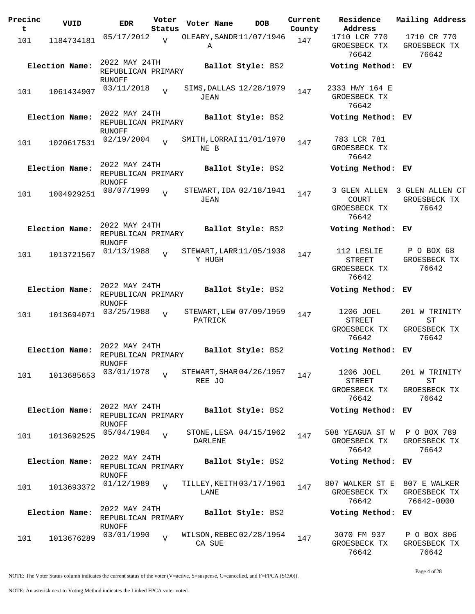| Precinc<br>t | VUID           | <b>EDR</b>                                           | Voter<br>Status | Voter Name     | <b>DOB</b>               | Current<br>County | Residence<br>Address                                  | Mailing Address                                      |
|--------------|----------------|------------------------------------------------------|-----------------|----------------|--------------------------|-------------------|-------------------------------------------------------|------------------------------------------------------|
| 101          | 1184734181     | 05/17/2012                                           | $\overline{V}$  | Α              | OLEARY, SANDR 11/07/1946 | 147               | 1710 LCR 770<br>GROESBECK TX<br>76642                 | 1710 CR 770<br>GROESBECK TX<br>76642                 |
|              | Election Name: | 2022 MAY 24TH<br>REPUBLICAN PRIMARY<br>RUNOFF        |                 |                | Ballot Style: BS2        |                   | Voting Method: EV                                     |                                                      |
| 101          | 1061434907     | 03/11/2018                                           | $\overline{V}$  | JEAN           | SIMS, DALLAS 12/28/1979  | 147               | 2333 HWY 164 E<br>GROESBECK TX<br>76642               |                                                      |
|              | Election Name: | 2022 MAY 24TH<br>REPUBLICAN PRIMARY<br>RUNOFF        |                 |                | Ballot Style: BS2        |                   | Voting Method: EV                                     |                                                      |
| 101          | 1020617531     | 02/19/2004                                           | $\overline{V}$  | NE B           | SMITH, LORRAI 11/01/1970 | 147               | 783 LCR 781<br>GROESBECK TX<br>76642                  |                                                      |
|              | Election Name: | 2022 MAY 24TH<br>REPUBLICAN PRIMARY<br>RUNOFF        |                 |                | Ballot Style: BS2        |                   | Voting Method: EV                                     |                                                      |
| 101          | 1004929251     | 08/07/1999                                           | $\overline{V}$  | JEAN           | STEWART, IDA 02/18/1941  | 147               | 3 GLEN ALLEN<br><b>COURT</b><br>GROESBECK TX<br>76642 | 3 GLEN ALLEN CT<br>GROESBECK TX<br>76642             |
|              | Election Name: | 2022 MAY 24TH<br>REPUBLICAN PRIMARY<br><b>RUNOFF</b> |                 |                | Ballot Style: BS2        |                   | Voting Method: EV                                     |                                                      |
| 101          | 1013721567     | 01/13/1988                                           | $\overline{V}$  | Y HUGH         | STEWART, LARR 11/05/1938 | 147               | 112 LESLIE<br><b>STREET</b><br>GROESBECK TX<br>76642  | P O BOX 68<br>GROESBECK TX<br>76642                  |
|              | Election Name: | 2022 MAY 24TH<br>REPUBLICAN PRIMARY<br>RUNOFF        |                 |                | Ballot Style: BS2        |                   | Voting Method: EV                                     |                                                      |
| 101          | 1013694071     | 03/25/1988                                           | $\overline{V}$  | PATRICK        | STEWART, LEW 07/09/1959  | 147               | 1206 JOEL<br><b>STREET</b><br>GROESBECK TX<br>76642   | 201 W TRINITY<br>${\rm ST}$<br>GROESBECK TX<br>76642 |
|              | Election Name: | 2022 MAY 24TH<br>REPUBLICAN PRIMARY<br>RUNOFF        |                 |                | Ballot Style: BS2        |                   | Voting Method: EV                                     |                                                      |
| 101          | 1013685653     | 03/01/1978                                           | $\overline{V}$  | REE JO         | STEWART, SHAR 04/26/1957 | 147               | 1206 JOEL<br><b>STREET</b><br>GROESBECK TX<br>76642   | 201 W TRINITY<br>ST<br>GROESBECK TX<br>76642         |
|              | Election Name: | 2022 MAY 24TH<br>REPUBLICAN PRIMARY<br><b>RUNOFF</b> |                 |                | Ballot Style: BS2        |                   | Voting Method: EV                                     |                                                      |
| 101          | 1013692525     | 05/04/1984                                           | $\overline{V}$  | <b>DARLENE</b> | STONE, LESA 04/15/1962   | 147               | 508 YEAGUA ST W<br>GROESBECK TX<br>76642              | P O BOX 789<br>GROESBECK TX<br>76642                 |
|              | Election Name: | 2022 MAY 24TH<br>REPUBLICAN PRIMARY<br>RUNOFF        |                 |                | Ballot Style: BS2        |                   | Voting Method: EV                                     |                                                      |
| 101          | 1013693372     | 01/12/1989                                           | $\overline{V}$  | LANE           | TILLEY, KEITH 03/17/1961 | 147               | 807 WALKER ST E 807 E WALKER<br>GROESBECK TX<br>76642 | GROESBECK TX<br>76642-0000                           |
|              | Election Name: | 2022 MAY 24TH<br>REPUBLICAN PRIMARY<br><b>RUNOFF</b> |                 |                | Ballot Style: BS2        |                   | Voting Method: EV                                     |                                                      |
| 101          | 1013676289     | 03/01/1990                                           | $\overline{V}$  | CA SUE         | WILSON, REBEC 02/28/1954 | 147               | 3070 FM 937<br>GROESBECK TX<br>76642                  | P O BOX 806<br>GROESBECK TX<br>76642                 |

Page 4 of 28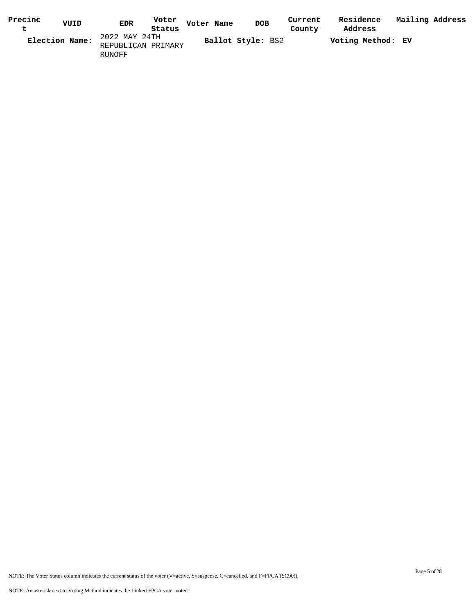| Precinc | VUID           | Voter<br><b>EDR</b> | Voter Name | <b>DOB</b>        | Current | Residence         | Mailing Address |  |
|---------|----------------|---------------------|------------|-------------------|---------|-------------------|-----------------|--|
|         |                | Status              |            |                   | County  | Address           |                 |  |
|         | Election Name: | 2022 MAY 24TH       |            | Ballot Style: BS2 |         | Voting Method: EV |                 |  |
|         |                | REPUBLICAN PRIMARY  |            |                   |         |                   |                 |  |
|         |                | RUNOFF              |            |                   |         |                   |                 |  |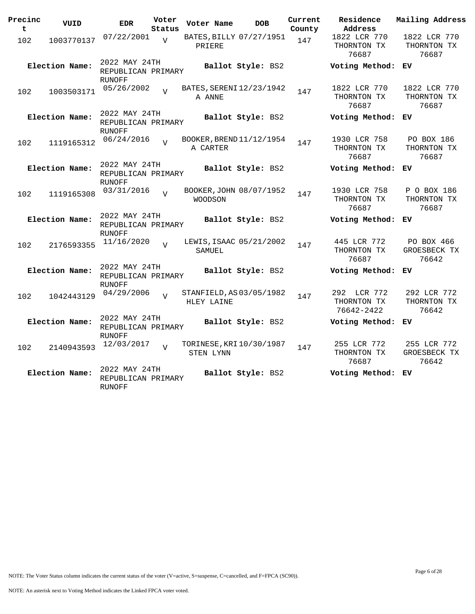| Precinc<br>t | VUID           | <b>EDR</b>                                           | Voter<br>Status | Voter Name | <b>DOB</b>               | Current<br>County | Residence<br>Address                     | Mailing Address                      |
|--------------|----------------|------------------------------------------------------|-----------------|------------|--------------------------|-------------------|------------------------------------------|--------------------------------------|
| 102          | 1003770137     | 07/22/2001                                           | $\overline{U}$  | PRIERE     | BATES, BILLY 07/27/1951  | 147               | 1822 LCR 770<br>THORNTON TX<br>76687     | 1822 LCR 770<br>THORNTON TX<br>76687 |
|              | Election Name: | 2022 MAY 24TH<br>REPUBLICAN PRIMARY<br><b>RUNOFF</b> |                 |            | Ballot Style: BS2        |                   | Voting Method:                           | ЕV                                   |
| 102          | 1003503171     | 05/26/2002                                           | $\overline{z}$  | A ANNE     | BATES, SERENI 12/23/1942 | 147               | 1822 LCR 770<br>THORNTON TX<br>76687     | 1822 LCR 770<br>THORNTON TX<br>76687 |
|              | Election Name: | 2022 MAY 24TH<br>REPUBLICAN PRIMARY<br><b>RUNOFF</b> |                 |            | Ballot Style: BS2        |                   | Voting Method:                           | ЕV                                   |
| 102          | 1119165312     | 06/24/2016                                           |                 | A CARTER   | BOOKER, BREND 11/12/1954 | 147               | 1930 LCR 758<br>THORNTON TX<br>76687     | PO BOX 186<br>THORNTON TX<br>76687   |
|              | Election Name: | 2022 MAY 24TH<br>REPUBLICAN PRIMARY<br><b>RUNOFF</b> |                 |            | Ballot Style: BS2        |                   | Voting Method:                           | ЕV                                   |
| 102          | 1119165308     | 03/31/2016                                           | $\overline{U}$  | WOODSON    | BOOKER, JOHN 08/07/1952  | 147               | 1930 LCR 758<br>THORNTON TX<br>76687     | P O BOX 186<br>THORNTON TX<br>76687  |
|              | Election Name: | 2022 MAY 24TH<br>REPUBLICAN PRIMARY<br><b>RUNOFF</b> |                 |            | Ballot Style: BS2        |                   | Voting Method:                           | ЕV                                   |
| 102          | 2176593355     | 11/16/2020                                           | $\overline{U}$  | SAMUEL     | LEWIS, ISAAC 05/21/2002  | 147               | 445 LCR 772<br>THORNTON TX<br>76687      | PO BOX 466<br>GROESBECK TX<br>76642  |
|              | Election Name: | 2022 MAY 24TH<br>REPUBLICAN PRIMARY<br><b>RUNOFF</b> |                 |            | Ballot Style: BS2        |                   | Voting Method: EV                        |                                      |
| 102          | 1042443129     | 04/29/2006                                           | $\overline{U}$  | HLEY LAINE | STANFIELD, AS 03/05/1982 | 147               | 292 LCR 772<br>THORNTON TX<br>76642-2422 | 292 LCR 772<br>THORNTON TX<br>76642  |
|              | Election Name: | 2022 MAY 24TH<br>REPUBLICAN PRIMARY<br><b>RUNOFF</b> |                 |            | Ballot Style: BS2        |                   | Voting Method:                           | ЕV                                   |
| 102          | 2140943593     | 12/03/2017                                           | $\overline{U}$  | STEN LYNN  | TORINESE, KRI 10/30/1987 | 147               | 255 LCR 772<br>THORNTON TX<br>76687      | 255 LCR 772<br>GROESBECK TX<br>76642 |
|              | Election Name: | 2022 MAY 24TH<br>REPUBLICAN PRIMARY<br><b>RUNOFF</b> |                 |            | Ballot Style: BS2        |                   | Voting Method:                           | ЕV                                   |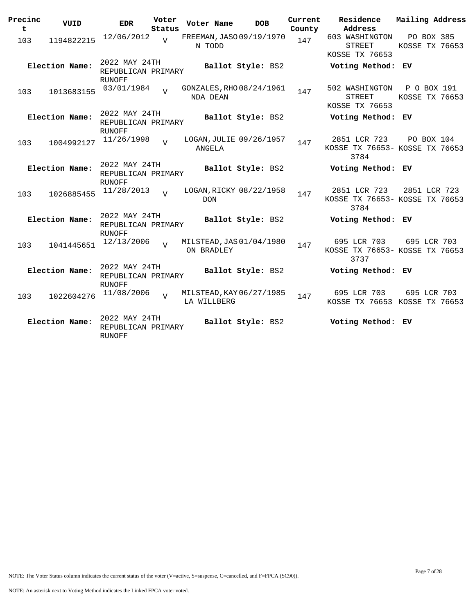| Precinc<br>$\mathbf t$ | VUID           | <b>EDR</b>                                           | Voter<br>Status | Voter Name  | <b>DOB</b>               | Current<br>County | Residence<br>Address                                   | Mailing Address               |  |
|------------------------|----------------|------------------------------------------------------|-----------------|-------------|--------------------------|-------------------|--------------------------------------------------------|-------------------------------|--|
| 103                    | 1194822215     | 12/06/2012                                           | $\overline{U}$  | N TODD      | FREEMAN, JASO 09/19/1970 | 147               | 603 WASHINGTON<br><b>STREET</b><br>KOSSE TX 76653      | PO BOX 385<br>KOSSE TX 76653  |  |
|                        | Election Name: | 2022 MAY 24TH<br>REPUBLICAN PRIMARY<br><b>RUNOFF</b> |                 |             | Ballot Style: BS2        |                   | Voting Method: EV                                      |                               |  |
| 103                    | 1013683155     | 03/01/1984                                           | 77              | NDA DEAN    | GONZALES, RHO 08/24/1961 | 147               | 502 WASHINGTON<br>STREET<br>KOSSE TX 76653             | P O BOX 191<br>KOSSE TX 76653 |  |
|                        | Election Name: | 2022 MAY 24TH<br>REPUBLICAN PRIMARY<br><b>RUNOFF</b> |                 |             | Ballot Style: BS2        |                   | Voting Method: EV                                      |                               |  |
| 103                    | 1004992127     | 11/26/1998                                           | $\overline{z}$  | ANGELA      | LOGAN, JULIE 09/26/1957  | 147               | 2851 LCR 723<br>KOSSE TX 76653- KOSSE TX 76653<br>3784 | PO BOX 104                    |  |
|                        | Election Name: | 2022 MAY 24TH<br>REPUBLICAN PRIMARY<br><b>RUNOFF</b> |                 |             | Ballot Style: BS2        |                   | Voting Method: EV                                      |                               |  |
| 103                    | 1026885455     | 11/28/2013                                           | $\overline{U}$  | <b>DON</b>  | LOGAN, RICKY 08/22/1958  | 147               | 2851 LCR 723<br>KOSSE TX 76653- KOSSE TX 76653<br>3784 | 2851 LCR 723                  |  |
|                        | Election Name: | 2022 MAY 24TH<br>REPUBLICAN PRIMARY<br><b>RUNOFF</b> |                 |             | Ballot Style: BS2        |                   | Voting Method: EV                                      |                               |  |
| 103                    | 1041445651     | 12/13/2006                                           | $\overline{z}$  | ON BRADLEY  | MILSTEAD, JAS 01/04/1980 | 147               | 695 LCR 703<br>KOSSE TX 76653- KOSSE TX 76653<br>3737  | 695 LCR 703                   |  |
|                        | Election Name: | 2022 MAY 24TH<br>REPUBLICAN PRIMARY<br><b>RUNOFF</b> |                 |             | Ballot Style: BS2        |                   | Voting Method: EV                                      |                               |  |
| 103                    | 1022604276     | 11/08/2006                                           | $\overline{z}$  | LA WILLBERG | MILSTEAD, KAY 06/27/1985 | 147               | 695 LCR 703<br>KOSSE TX 76653 KOSSE TX 76653           | 695 LCR 703                   |  |
|                        | Election Name: | 2022 MAY 24TH<br>REPUBLICAN PRIMARY<br><b>RUNOFF</b> |                 |             | Ballot Style: BS2        |                   | Voting Method: EV                                      |                               |  |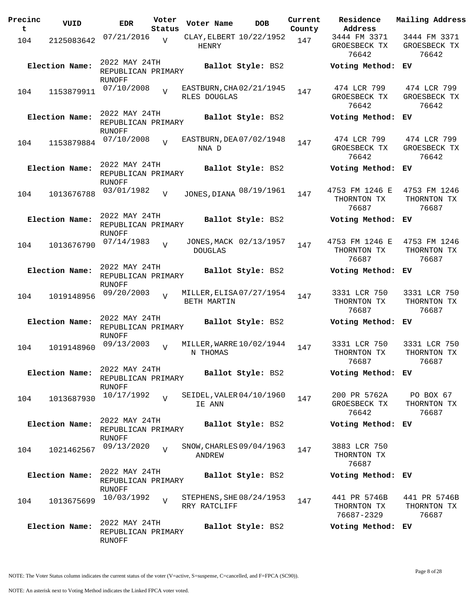| Precinc<br>t | VUID           | <b>EDR</b>                                    | Voter<br>Status | Voter Name                               | <b>DOB</b>             | Current<br>County | Residence<br>Address                      | Mailing Address                       |
|--------------|----------------|-----------------------------------------------|-----------------|------------------------------------------|------------------------|-------------------|-------------------------------------------|---------------------------------------|
| 104          | 2125083642     | 07/21/2016                                    | $\overline{V}$  | CLAY, ELBERT 10/22/1952<br>HENRY         |                        | 147               | 3444 FM 3371<br>GROESBECK TX<br>76642     | 3444 FM 3371<br>GROESBECK TX<br>76642 |
|              | Election Name: | 2022 MAY 24TH<br>REPUBLICAN PRIMARY<br>RUNOFF |                 |                                          | Ballot Style: BS2      |                   | Voting Method: EV                         |                                       |
| 104          | 1153879911     | 07/10/2008                                    | $\overline{V}$  | EASTBURN, CHA02/21/1945<br>RLES DOUGLAS  |                        | 147               | 474 LCR 799<br>GROESBECK TX<br>76642      | 474 LCR 799<br>GROESBECK TX<br>76642  |
|              | Election Name: | 2022 MAY 24TH<br>REPUBLICAN PRIMARY<br>RUNOFF |                 |                                          | Ballot Style: BS2      |                   | Voting Method:                            | EV.                                   |
| 104          | 1153879884     | 07/10/2008                                    | $\overline{z}$  | EASTBURN, DEA 07/02/1948<br>NNA D        |                        | 147               | 474 LCR 799<br>GROESBECK TX<br>76642      | 474 LCR 799<br>GROESBECK TX<br>76642  |
|              | Election Name: | 2022 MAY 24TH<br>REPUBLICAN PRIMARY<br>RUNOFF |                 |                                          | Ballot Style: BS2      |                   | Voting Method: EV                         |                                       |
| 104          | 1013676788     | 03/01/1982                                    | V               | JONES, DIANA 08/19/1961                  |                        | 147               | 4753 FM 1246 E<br>THORNTON TX<br>76687    | 4753 FM 1246<br>THORNTON TX<br>76687  |
|              | Election Name: | 2022 MAY 24TH<br>REPUBLICAN PRIMARY<br>RUNOFF |                 |                                          | Ballot Style: BS2      |                   | Voting Method: EV                         |                                       |
| 104          | 1013676790     | 07/14/1983                                    | $\overline{U}$  | <b>DOUGLAS</b>                           | JONES, MACK 02/13/1957 | 147               | 4753 FM 1246 E<br>THORNTON TX<br>76687    | 4753 FM 1246<br>THORNTON TX<br>76687  |
|              | Election Name: | 2022 MAY 24TH<br>REPUBLICAN PRIMARY<br>RUNOFF |                 |                                          | Ballot Style: BS2      |                   | Voting Method: EV                         |                                       |
| 104          | 1019148956     | 09/20/2003                                    | $\overline{V}$  | MILLER, ELISA 07/27/1954<br>BETH MARTIN  |                        | 147               | 3331 LCR 750<br>THORNTON TX<br>76687      | 3331 LCR 750<br>THORNTON TX<br>76687  |
|              | Election Name: | 2022 MAY 24TH<br>REPUBLICAN PRIMARY<br>RUNOFF |                 |                                          | Ballot Style: BS2      |                   | Voting Method:                            | EV.                                   |
| 104          | 1019148960     | 09/13/2003                                    | $\overline{U}$  | MILLER, WARRE 10/02/1944<br>N THOMAS     |                        | 147               | 3331 LCR 750<br>THORNTON TX<br>76687      | 3331 LCR 750<br>THORNTON TX<br>76687  |
|              | Election Name: | 2022 MAY 24TH<br>REPUBLICAN PRIMARY<br>RUNOFF |                 |                                          | Ballot Style: BS2      |                   | Voting Method: EV                         |                                       |
| 104          | 1013687930     | 10/17/1992                                    | $\overline{U}$  | SEIDEL, VALER 04/10/1960<br>IE ANN       |                        | 147               | 200 PR 5762A<br>GROESBECK TX<br>76642     | PO BOX 67<br>THORNTON TX<br>76687     |
|              | Election Name: | 2022 MAY 24TH<br>REPUBLICAN PRIMARY<br>RUNOFF |                 |                                          | Ballot Style: BS2      |                   | Voting Method: EV                         |                                       |
| 104          | 1021462567     | 09/13/2020                                    | $\overline{v}$  | SNOW, CHARLES 09/04/1963<br>ANDREW       |                        | 147               | 3883 LCR 750<br>THORNTON TX<br>76687      |                                       |
|              | Election Name: | 2022 MAY 24TH<br>REPUBLICAN PRIMARY<br>RUNOFF |                 |                                          | Ballot Style: BS2      |                   | Voting Method: EV                         |                                       |
| 104          | 1013675699     | 10/03/1992                                    | $\overline{V}$  | STEPHENS, SHE 08/24/1953<br>RRY RATCLIFF |                        | 147               | 441 PR 5746B<br>THORNTON TX<br>76687-2329 | 441 PR 5746B<br>THORNTON TX<br>76687  |
|              | Election Name: | 2022 MAY 24TH<br>REPUBLICAN PRIMARY<br>RUNOFF |                 |                                          | Ballot Style: BS2      |                   | Voting Method: EV                         |                                       |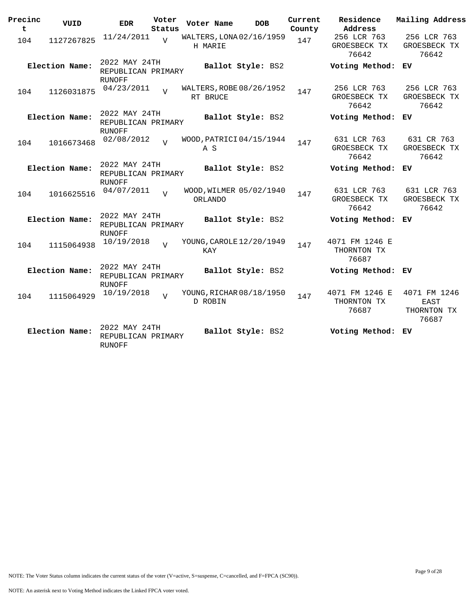| Precinc<br>t | VUID           | <b>EDR</b>                                           | Voter<br>Status | Voter Name | <b>DOB</b>               | Current<br>County | Residence<br>Address                   | Mailing Address                              |
|--------------|----------------|------------------------------------------------------|-----------------|------------|--------------------------|-------------------|----------------------------------------|----------------------------------------------|
| 104          | 1127267825     | 11/24/2011                                           | $\overline{V}$  | H MARIE    | WALTERS, LONA 02/16/1959 | 147               | 256 LCR 763<br>GROESBECK TX<br>76642   | 256 LCR 763<br>GROESBECK TX<br>76642         |
|              | Election Name: | 2022 MAY 24TH<br>REPUBLICAN PRIMARY<br><b>RUNOFF</b> |                 |            | Ballot Style: BS2        |                   | Voting Method: EV                      |                                              |
| 104          | 1126031875     | 04/23/2011                                           | $\overline{U}$  | RT BRUCE   | WALTERS, ROBE 08/26/1952 | 147               | 256 LCR 763<br>GROESBECK TX<br>76642   | 256 LCR 763<br>GROESBECK TX<br>76642         |
|              | Election Name: | 2022 MAY 24TH<br>REPUBLICAN PRIMARY<br>RUNOFF        |                 |            | Ballot Style: BS2        |                   | Voting Method: EV                      |                                              |
| 104          | 1016673468     | 02/08/2012                                           | $\overline{z}$  | A S        | WOOD, PATRICI 04/15/1944 | 147               | 631 LCR 763<br>GROESBECK TX<br>76642   | 631 CR 763<br>GROESBECK TX<br>76642          |
|              | Election Name: | 2022 MAY 24TH<br>REPUBLICAN PRIMARY<br><b>RUNOFF</b> |                 |            | Ballot Style: BS2        |                   | Voting Method:                         | EV.                                          |
| 104          | 1016625516     | 04/07/2011                                           | $\overline{V}$  | ORLANDO    | WOOD, WILMER 05/02/1940  | 147               | 631 LCR 763<br>GROESBECK TX<br>76642   | 631 LCR 763<br>GROESBECK TX<br>76642         |
|              | Election Name: | 2022 MAY 24TH<br>REPUBLICAN PRIMARY<br>RUNOFF        |                 |            | Ballot Style: BS2        |                   | Voting Method: EV                      |                                              |
| 104          | 1115064938     | 10/19/2018                                           | $\overline{17}$ | KAY        | YOUNG, CAROLE 12/20/1949 | 147               | 4071 FM 1246 E<br>THORNTON TX<br>76687 |                                              |
|              | Election Name: | 2022 MAY 24TH<br>REPUBLICAN PRIMARY<br><b>RUNOFF</b> |                 |            | Ballot Style: BS2        |                   | Voting Method: EV                      |                                              |
| 104          | 1115064929     | 10/19/2018                                           | $\overline{z}$  | D ROBIN    | YOUNG, RICHAR 08/18/1950 | 147               | 4071 FM 1246 E<br>THORNTON TX<br>76687 | 4071 FM 1246<br>EAST<br>THORNTON TX<br>76687 |
|              | Election Name: | 2022 MAY 24TH<br>REPUBLICAN PRIMARY<br><b>RUNOFF</b> |                 |            | Ballot Style: BS2        |                   | Voting Method: EV                      |                                              |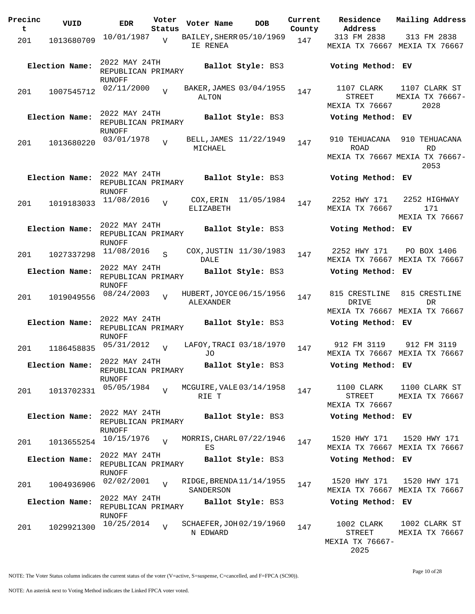| Precinc<br>t | VUID           | <b>EDR</b>                          | Voter<br>Status | Voter Name                            | <b>DOB</b>              | Current<br>County | Residence<br>Address            | Mailing Address                                     |
|--------------|----------------|-------------------------------------|-----------------|---------------------------------------|-------------------------|-------------------|---------------------------------|-----------------------------------------------------|
|              |                | 10/01/1987                          |                 | BAILEY, SHERR 05/10/1969              |                         |                   | 313 FM 2838                     | 313 FM 2838                                         |
| 201          | 1013680709     |                                     | $\overline{V}$  | IE RENEA                              |                         | 147               |                                 | MEXIA TX 76667 MEXIA TX 76667                       |
|              | Election Name: | 2022 MAY 24TH                       |                 |                                       | Ballot Style: BS3       |                   | Voting Method: EV               |                                                     |
|              |                | REPUBLICAN PRIMARY<br>RUNOFF        |                 |                                       |                         |                   |                                 |                                                     |
| 201          | 1007545712     | 02/11/2000                          | $\overline{V}$  |                                       | BAKER, JAMES 03/04/1955 | 147               | 1107 CLARK                      | 1107 CLARK ST                                       |
|              |                |                                     |                 | ALTON                                 |                         |                   | <b>STREET</b><br>MEXIA TX 76667 | MEXIA TX 76667-<br>2028                             |
|              |                | 2022 MAY 24TH                       |                 |                                       |                         |                   |                                 |                                                     |
|              | Election Name: | REPUBLICAN PRIMARY<br>RUNOFF        |                 |                                       | Ballot Style: BS3       |                   | Voting Method: EV               |                                                     |
| 201          | 1013680220     | 03/01/1978                          | $\overline{V}$  | MICHAEL                               | BELL, JAMES 11/22/1949  | 147               | 910 TEHUACANA<br><b>ROAD</b>    | 910 TEHUACANA                                       |
|              |                |                                     |                 |                                       |                         |                   |                                 | <b>RD</b><br>MEXIA TX 76667 MEXIA TX 76667-<br>2053 |
|              | Election Name: | 2022 MAY 24TH                       |                 |                                       | Ballot Style: BS3       |                   | Voting Method: EV               |                                                     |
|              |                | REPUBLICAN PRIMARY<br><b>RUNOFF</b> |                 |                                       |                         |                   |                                 |                                                     |
| 201          | 1019183033     | 11/08/2016                          | $\overline{V}$  |                                       | COX, ERIN 11/05/1984    | 147               | 2252 HWY 171                    | 2252 HIGHWAY                                        |
|              |                |                                     |                 | ELIZABETH                             |                         |                   | MEXIA TX 76667                  | 171<br>MEXIA TX 76667                               |
|              | Election Name: | 2022 MAY 24TH                       |                 |                                       | Ballot Style: BS3       |                   | Voting Method: EV               |                                                     |
|              |                | REPUBLICAN PRIMARY                  |                 |                                       |                         |                   |                                 |                                                     |
|              |                | RUNOFF<br>11/08/2016                | $\mathcal{S}$   |                                       | COX, JUSTIN 11/30/1983  |                   | 2252 HWY 171                    | PO BOX 1406                                         |
| 201          | 1027337298     |                                     |                 | <b>DALE</b>                           |                         | 147               |                                 | MEXIA TX 76667 MEXIA TX 76667                       |
|              | Election Name: | 2022 MAY 24TH                       |                 |                                       | Ballot Style: BS3       |                   | Voting Method: EV               |                                                     |
|              |                | REPUBLICAN PRIMARY<br>RUNOFF        |                 |                                       |                         |                   |                                 |                                                     |
| 201          | 1019049556     | 08/24/2003                          | $\overline{U}$  | HUBERT, JOYCE 06/15/1956              |                         | 147               | 815 CRESTLINE                   | 815 CRESTLINE                                       |
|              |                |                                     |                 | ALEXANDER                             |                         |                   | DRIVE                           | DR.                                                 |
|              |                | 2022 MAY 24TH                       |                 |                                       |                         |                   |                                 | MEXIA TX 76667 MEXIA TX 76667                       |
|              | Election Name: | REPUBLICAN PRIMARY                  |                 |                                       | Ballot Style: BS3       |                   | Voting Method: EV               |                                                     |
|              |                | RUNOFF<br>05/31/2012                |                 | LAFOY, TRACI 03/18/1970               |                         |                   | 912 FM 3119                     | 912 FM 3119                                         |
| 201          | 1186458835     |                                     | $\overline{z}$  | J0                                    |                         | 147               |                                 | MEXIA TX 76667 MEXIA TX 76667                       |
|              | Election Name: | 2022 MAY 24TH                       |                 |                                       | Ballot Style: BS3       |                   | Voting Method: EV               |                                                     |
|              |                | REPUBLICAN PRIMARY<br>RUNOFF        |                 |                                       |                         |                   |                                 |                                                     |
| 201          | 1013702331     | 05/05/1984                          |                 | MCGUIRE, VALE 03/14/1958              |                         | 147               | 1100 CLARK                      | 1100 CLARK ST                                       |
|              |                |                                     |                 | RIE T                                 |                         |                   | STREET                          | MEXIA TX 76667                                      |
|              |                | 2022 MAY 24TH                       |                 |                                       |                         |                   | MEXIA TX 76667                  |                                                     |
|              | Election Name: | REPUBLICAN PRIMARY                  |                 |                                       | Ballot Style: BS3       |                   | Voting Method: EV               |                                                     |
|              |                | RUNOFF<br>10/15/1976                |                 | MORRIS, CHARL 07/22/1946              |                         |                   | 1520 HWY 171                    | 1520 HWY 171                                        |
| 201          | 1013655254     |                                     |                 | ES                                    |                         | 147               |                                 | MEXIA TX 76667 MEXIA TX 76667                       |
|              | Election Name: | 2022 MAY 24TH<br>REPUBLICAN PRIMARY |                 |                                       | Ballot Style: BS3       |                   | Voting Method: EV               |                                                     |
|              |                | RUNOFF                              |                 |                                       |                         |                   |                                 |                                                     |
| 201          | 1004936906     | 02/02/2001                          | $\overline{V}$  | RIDGE, BRENDA 11/14/1955<br>SANDERSON |                         | 147               | 1520 HWY 171                    | 1520 HWY 171<br>MEXIA TX 76667 MEXIA TX 76667       |
|              | Election Name: | 2022 MAY 24TH                       |                 |                                       | Ballot Style: BS3       |                   | Voting Method: EV               |                                                     |
|              |                | REPUBLICAN PRIMARY<br><b>RUNOFF</b> |                 |                                       |                         |                   |                                 |                                                     |
| 201          | 1029921300     | 10/25/2014                          | $\overline{V}$  | SCHAEFER, JOH 02/19/1960              |                         | 147               | 1002 CLARK                      | 1002 CLARK ST                                       |
|              |                |                                     |                 | N EDWARD                              |                         |                   | STREET<br>MEXIA TX 76667-       | MEXIA TX 76667                                      |

2025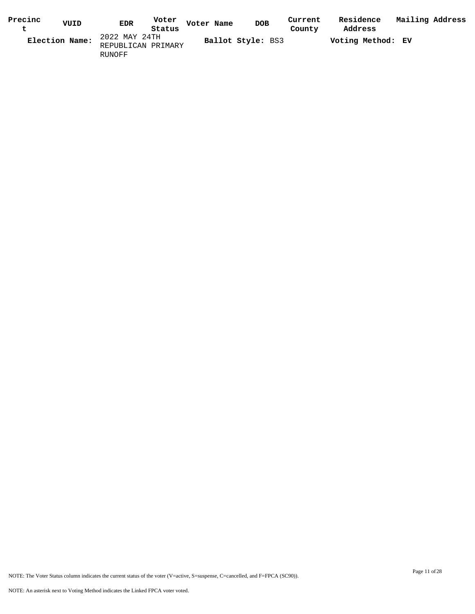| Precinc | VUID           | Voter<br><b>EDR</b> | Voter Name | <b>DOB</b>               | Current | Residence         | Mailing Address |  |
|---------|----------------|---------------------|------------|--------------------------|---------|-------------------|-----------------|--|
|         |                | Status              |            |                          | County  | Address           |                 |  |
|         | Election Name: | 2022 MAY 24TH       |            | <b>Ballot Style: BS3</b> |         | Voting Method: EV |                 |  |
|         |                | REPUBLICAN PRIMARY  |            |                          |         |                   |                 |  |
|         |                | RUNOFF              |            |                          |         |                   |                 |  |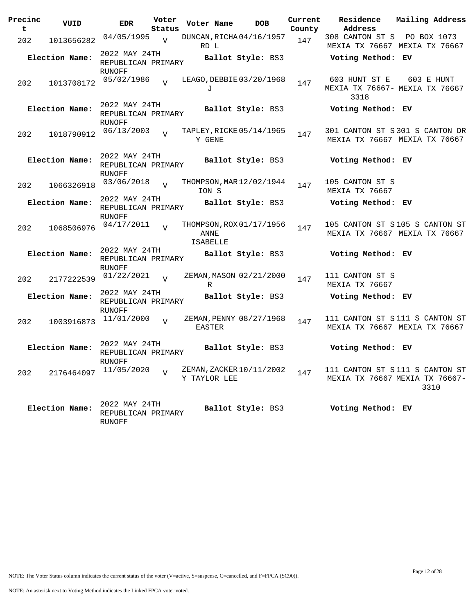| Precinc<br>t | VUID           | <b>EDR</b>                                           | Voter<br>Status | Voter Name              | <b>DOB</b>               | Current<br>County | Residence<br>Address                                             | Mailing Address |  |
|--------------|----------------|------------------------------------------------------|-----------------|-------------------------|--------------------------|-------------------|------------------------------------------------------------------|-----------------|--|
| 202          | 1013656282     | 04/05/1995                                           | $\nabla$        | RD L                    | DUNCAN, RICHA 04/16/1957 | 147               | 308 CANTON ST S PO BOX 1073<br>MEXIA TX 76667 MEXIA TX 76667     |                 |  |
|              | Election Name: | 2022 MAY 24TH<br>REPUBLICAN PRIMARY<br>RUNOFF        |                 |                         | Ballot Style: BS3        |                   | Voting Method: EV                                                |                 |  |
| 202          | 1013708172     | 05/02/1986                                           | $\overline{U}$  | J                       | LEAGO, DEBBIE 03/20/1968 | 147               | 603 HUNT ST E<br>MEXIA TX 76667- MEXIA TX 76667<br>3318          | 603 E HUNT      |  |
|              | Election Name: | 2022 MAY 24TH<br>REPUBLICAN PRIMARY<br>RUNOFF        |                 |                         | Ballot Style: BS3        |                   | Voting Method: EV                                                |                 |  |
| 202          | 1018790912     | 06/13/2003                                           |                 | Y GENE                  | TAPLEY, RICKE 05/14/1965 | 147               | 301 CANTON ST S 301 S CANTON DR<br>MEXIA TX 76667 MEXIA TX 76667 |                 |  |
|              | Election Name: | 2022 MAY 24TH<br>REPUBLICAN PRIMARY<br>RUNOFF        |                 |                         | Ballot Style: BS3        |                   | Voting Method: EV                                                |                 |  |
| 202          | 1066326918     | 03/06/2018                                           | $\overline{v}$  | ION S                   | THOMPSON, MAR 12/02/1944 | 147               | 105 CANTON ST S<br>MEXIA TX 76667                                |                 |  |
|              | Election Name: | 2022 MAY 24TH<br>REPUBLICAN PRIMARY<br><b>RUNOFF</b> |                 |                         | Ballot Style: BS3        |                   | Voting Method: EV                                                |                 |  |
| 202          | 1068506976     | 04/17/2011                                           | $\overline{U}$  | ANNE<br><b>ISABELLE</b> | THOMPSON, ROX 01/17/1956 | 147               | 105 CANTON ST S105 S CANTON ST<br>MEXIA TX 76667 MEXIA TX 76667  |                 |  |
|              | Election Name: | 2022 MAY 24TH<br>REPUBLICAN PRIMARY<br>RUNOFF        |                 |                         | Ballot Style: BS3        |                   | Voting Method: EV                                                |                 |  |
| 202          | 2177222539     | 01/22/2021                                           | $\overline{V}$  | R                       | ZEMAN, MASON 02/21/2000  | 147               | 111 CANTON ST S<br>MEXIA TX 76667                                |                 |  |
|              | Election Name: | 2022 MAY 24TH<br>REPUBLICAN PRIMARY<br>RUNOFF        |                 |                         | Ballot Style: BS3        |                   | Voting Method: EV                                                |                 |  |
| 202          | 1003916873     | 11/01/2000                                           | $\overline{V}$  | EASTER                  | ZEMAN, PENNY 08/27/1968  | 147               | 111 CANTON ST S111 S CANTON ST<br>MEXIA TX 76667 MEXIA TX 76667  |                 |  |
|              | Election Name: | 2022 MAY 24TH<br>REPUBLICAN PRIMARY<br>RUNOFF        |                 |                         | Ballot Style: BS3        |                   | Voting Method: EV                                                |                 |  |
| 202          | 2176464097     | 11/05/2020                                           | $\overline{V}$  | Y TAYLOR LEE            | ZEMAN, ZACKER 10/11/2002 | 147               | 111 CANTON ST S111 S CANTON ST<br>MEXIA TX 76667 MEXIA TX 76667- | 3310            |  |
|              | Election Name: | 2022 MAY 24TH<br>REPUBLICAN PRIMARY<br>RUNOFF        |                 |                         | Ballot Style: BS3        |                   | Voting Method: EV                                                |                 |  |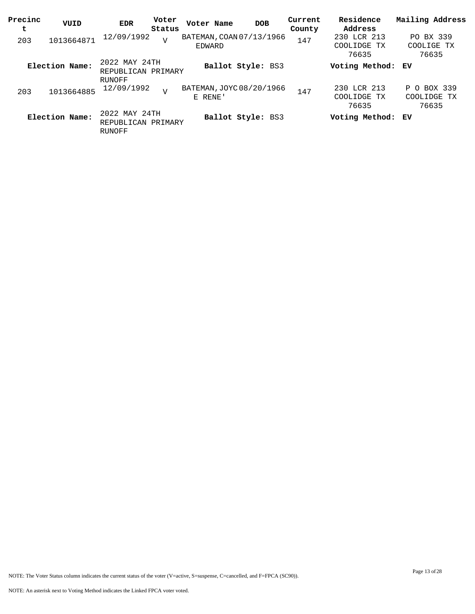| Precinc<br>t | VUID           | EDR                                           | Voter<br>Status | Voter Name                          | <b>DOB</b>               | Current<br>County | Residence<br>Address                | Mailing Address                     |
|--------------|----------------|-----------------------------------------------|-----------------|-------------------------------------|--------------------------|-------------------|-------------------------------------|-------------------------------------|
| 203          | 1013664871     | 12/09/1992                                    | $\overline{V}$  | BATEMAN, COAN 07/13/1966<br>EDWARD  |                          | 147               | 230 LCR 213<br>COOLIDGE TX<br>76635 | PO BX 339<br>COOLIGE TX<br>76635    |
|              | Election Name: | 2022 MAY 24TH<br>REPUBLICAN PRIMARY<br>RUNOFF |                 |                                     | Ballot Style: BS3        |                   | Voting Method: EV                   |                                     |
| 203          | 1013664885     | 12/09/1992                                    | $\overline{V}$  | BATEMAN, JOYC 08/20/1966<br>E RENE' |                          | 147               | 230 LCR 213<br>COOLIDGE TX<br>76635 | P O BOX 339<br>COOLIDGE TX<br>76635 |
|              | Election Name: | 2022 MAY 24TH<br>REPUBLICAN PRIMARY<br>RUNOFF |                 |                                     | <b>Ballot Style: BS3</b> |                   | Voting Method: EV                   |                                     |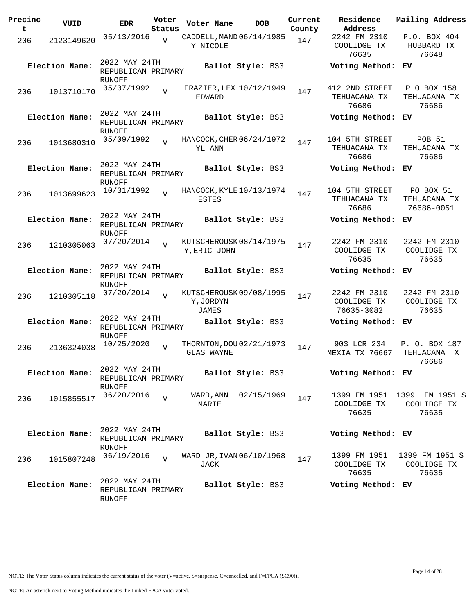| Precinc<br>t | VUID           | <b>EDR</b>                                    | Voter<br>Status | Voter Name                                    | <b>DOB</b>           | Current<br>County | Residence<br>Address                      | Mailing Address                                     |
|--------------|----------------|-----------------------------------------------|-----------------|-----------------------------------------------|----------------------|-------------------|-------------------------------------------|-----------------------------------------------------|
| 206          | 2123149620     | 05/13/2016                                    | $\overline{z}$  | CADDELL, MAND 06/14/1985<br>Y NICOLE          |                      | 147               | 2242 FM 2310<br>COOLIDGE TX<br>76635      | P.O. BOX 404<br>HUBBARD TX<br>76648                 |
|              | Election Name: | 2022 MAY 24TH<br>REPUBLICAN PRIMARY<br>RUNOFF |                 |                                               | Ballot Style: BS3    |                   | Voting Method:                            | ЕV                                                  |
| 206          | 1013710170     | 05/07/1992                                    | $\overline{z}$  | FRAZIER, LEX 10/12/1949<br>EDWARD             |                      | 147               | 412 2ND STREET<br>TEHUACANA TX<br>76686   | P O BOX 158<br>TEHUACANA TX<br>76686                |
|              | Election Name: | 2022 MAY 24TH<br>REPUBLICAN PRIMARY<br>RUNOFF |                 |                                               | Ballot Style: BS3    |                   | Voting Method:                            | ЕV                                                  |
| 206          | 1013680310     | 05/09/1992                                    | $\overline{U}$  | HANCOCK, CHER 06/24/1972<br>YL ANN            |                      | 147               | 104 5TH STREET<br>TEHUACANA TX<br>76686   | <b>POB 51</b><br>TEHUACANA TX<br>76686              |
|              | Election Name: | 2022 MAY 24TH<br>REPUBLICAN PRIMARY<br>RUNOFF |                 |                                               | Ballot Style: BS3    |                   | Voting Method: EV                         |                                                     |
| 206          | 1013699623     | 10/31/1992                                    | $\overline{z}$  | HANCOCK, KYLE 10/13/1974<br>ESTES             |                      | 147               | 104 5TH STREET<br>TEHUACANA TX<br>76686   | PO BOX 51<br>TEHUACANA TX<br>76686-0051             |
|              | Election Name: | 2022 MAY 24TH<br>REPUBLICAN PRIMARY<br>RUNOFF |                 |                                               | Ballot Style: BS3    |                   | Voting Method:                            | ЕV                                                  |
| 206          | 1210305063     | 07/20/2014                                    | $\overline{7}$  | KUTSCHEROUSK 08/14/1975<br>Y, ERIC JOHN       |                      | 147               | 2242 FM 2310<br>COOLIDGE TX<br>76635      | 2242 FM 2310<br>COOLIDGE TX<br>76635                |
|              | Election Name: | 2022 MAY 24TH<br>REPUBLICAN PRIMARY           |                 |                                               | Ballot Style: BS3    |                   | Voting Method:                            | ЕV                                                  |
| 206          | 1210305118     | RUNOFF<br>07/20/2014                          | $\overline{z}$  | KUTSCHEROUSK 09/08/1995<br>Y, JORDYN<br>JAMES |                      | 147               | 2242 FM 2310<br>COOLIDGE TX<br>76635-3082 | 2242 FM 2310<br>COOLIDGE TX<br>76635                |
|              | Election Name: | 2022 MAY 24TH<br>REPUBLICAN PRIMARY<br>RUNOFF |                 |                                               | Ballot Style: BS3    |                   | Voting Method:                            | ЕV                                                  |
| 206          | 2136324038     | 10/25/2020                                    | $\overline{U}$  | THORNTON, DOU 02/21/1973<br>GLAS WAYNE        |                      | 147               | 903 LCR 234<br><b>MEXIA TX 76667</b>      | P. O. BOX 187<br>TEHUACANA TX<br>76686              |
|              | Election Name: | 2022 MAY 24TH<br>REPUBLICAN PRIMARY           |                 |                                               | Ballot Style: BS3    |                   | Voting Method: EV                         |                                                     |
| 206          | 1015855517     | RUNOFF<br>06/20/2016                          | $\overline{z}$  | MARIE                                         | WARD, ANN 02/15/1969 | 147               | COOLIDGE TX<br>76635                      | 1399 FM 1951 1399 FM 1951 S<br>COOLIDGE TX<br>76635 |
|              | Election Name: | 2022 MAY 24TH<br>REPUBLICAN PRIMARY           |                 |                                               | Ballot Style: BS3    |                   | Voting Method: EV                         |                                                     |
| 206          | 1015807248     | <b>RUNOFF</b><br>06/19/2016                   | $\overline{U}$  | WARD JR, IVAN 06/10/1968<br>JACK              |                      | 147               | 1399 FM 1951<br>COOLIDGE TX<br>76635      | 1399 FM 1951 S<br>COOLIDGE TX<br>76635              |
|              | Election Name: | 2022 MAY 24TH<br>REPUBLICAN PRIMARY<br>RUNOFF |                 |                                               | Ballot Style: BS3    |                   | Voting Method: EV                         |                                                     |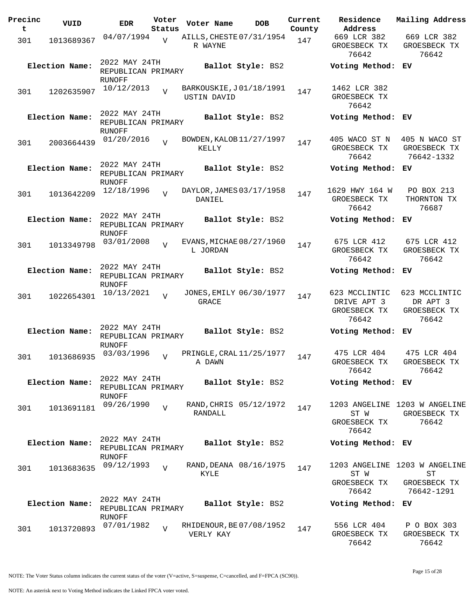| Precinc<br>t | VUID           | <b>EDR</b>                                           | Voter<br>Status | Voter Name                                    | <b>DOB</b>             | Current<br>County | Residence<br>Address                                  | Mailing Address                                                   |
|--------------|----------------|------------------------------------------------------|-----------------|-----------------------------------------------|------------------------|-------------------|-------------------------------------------------------|-------------------------------------------------------------------|
| 301          | 1013689367     | 04/07/1994                                           | $\overline{V}$  | AILLS, CHESTE 07/31/1954<br>R WAYNE           |                        | 147               | 669 LCR 382<br>GROESBECK TX<br>76642                  | 669 LCR 382<br>GROESBECK TX<br>76642                              |
|              | Election Name: | 2022 MAY 24TH<br>REPUBLICAN PRIMARY<br>RUNOFF        |                 |                                               | Ballot Style: BS2      |                   | Voting Method: EV                                     |                                                                   |
| 301          | 1202635907     | 10/12/2013                                           | $\overline{U}$  | BARKOUSKIE, J01/18/1991<br><b>USTIN DAVID</b> |                        | 147               | 1462 LCR 382<br>GROESBECK TX<br>76642                 |                                                                   |
|              | Election Name: | 2022 MAY 24TH<br>REPUBLICAN PRIMARY<br>RUNOFF        |                 |                                               | Ballot Style: BS2      |                   | Voting Method: EV                                     |                                                                   |
| 301          | 2003664439     | 01/20/2016                                           | $\overline{z}$  | BOWDEN, KALOB 11/27/1997<br>KELLY             |                        | 147               | 405 WACO ST N<br>GROESBECK TX<br>76642                | 405 N WACO ST<br>GROESBECK TX<br>76642-1332                       |
|              | Election Name: | 2022 MAY 24TH<br>REPUBLICAN PRIMARY<br>RUNOFF        |                 |                                               | Ballot Style: BS2      |                   | Voting Method: EV                                     |                                                                   |
| 301          | 1013642209     | 12/18/1996                                           | $\overline{V}$  | DAYLOR, JAMES 03/17/1958<br>DANIEL            |                        | 147               | 1629 HWY 164 W<br>GROESBECK TX<br>76642               | PO BOX 213<br>THORNTON TX<br>76687                                |
|              | Election Name: | 2022 MAY 24TH<br>REPUBLICAN PRIMARY<br><b>RUNOFF</b> |                 |                                               | Ballot Style: BS2      |                   | Voting Method: EV                                     |                                                                   |
| 301          | 1013349798     | 03/01/2008                                           | $\overline{z}$  | EVANS, MICHAE 08/27/1960<br>L JORDAN          |                        | 147               | 675 LCR 412<br>GROESBECK TX<br>76642                  | 675 LCR 412<br>GROESBECK TX<br>76642                              |
|              | Election Name: | 2022 MAY 24TH<br>REPUBLICAN PRIMARY<br>RUNOFF        |                 |                                               | Ballot Style: BS2      |                   | Voting Method: EV                                     |                                                                   |
| 301          | 1022654301     | 10/13/2021                                           | $\overline{V}$  | JONES, EMILY 06/30/1977<br>GRACE              |                        | 147               | 623 MCCLINTIC<br>DRIVE APT 3<br>GROESBECK TX<br>76642 | 623 MCCLINTIC<br>DR APT 3<br>GROESBECK TX<br>76642                |
|              | Election Name: | 2022 MAY 24TH<br>REPUBLICAN PRIMARY<br>RUNOFF        |                 |                                               | Ballot Style: BS2      |                   | Voting Method:                                        | EV.                                                               |
| 301          | 1013686935     | 03/03/1996                                           | $\overline{v}$  | PRINGLE, CRAL 11/25/1977<br>A DAWN            |                        | 147               | 475 LCR 404<br>GROESBECK TX<br>76642                  | 475 LCR 404<br>GROESBECK TX<br>76642                              |
|              | Election Name: | 2022 MAY 24TH<br>REPUBLICAN PRIMARY<br>RUNOFF        |                 |                                               | Ballot Style: BS2      |                   | Voting Method: EV                                     |                                                                   |
| 301          | 1013691181     | 09/26/1990                                           | $\overline{v}$  | RANDALL                                       | RAND, CHRIS 05/12/1972 | 147               | ST W<br>GROESBECK TX<br>76642                         | 1203 ANGELINE 1203 W ANGELINE<br>GROESBECK TX<br>76642            |
|              | Election Name: | 2022 MAY 24TH<br>REPUBLICAN PRIMARY<br>RUNOFF        |                 |                                               | Ballot Style: BS2      |                   | Voting Method: EV                                     |                                                                   |
| 301          | 1013683635     | 09/12/1993                                           | $\overline{V}$  | KYLE                                          | RAND, DEANA 08/16/1975 | 147               | ST W<br>GROESBECK TX<br>76642                         | 1203 ANGELINE 1203 W ANGELINE<br>ST<br>GROESBECK TX<br>76642-1291 |
|              | Election Name: | 2022 MAY 24TH<br>REPUBLICAN PRIMARY<br>RUNOFF        |                 |                                               | Ballot Style: BS2      |                   | Voting Method: EV                                     |                                                                   |
| 301          | 1013720893     | 07/01/1982                                           | $\overline{U}$  | RHIDENOUR, BE 07/08/1952<br>VERLY KAY         |                        | 147               | 556 LCR 404<br>GROESBECK TX<br>76642                  | P O BOX 303<br>GROESBECK TX<br>76642                              |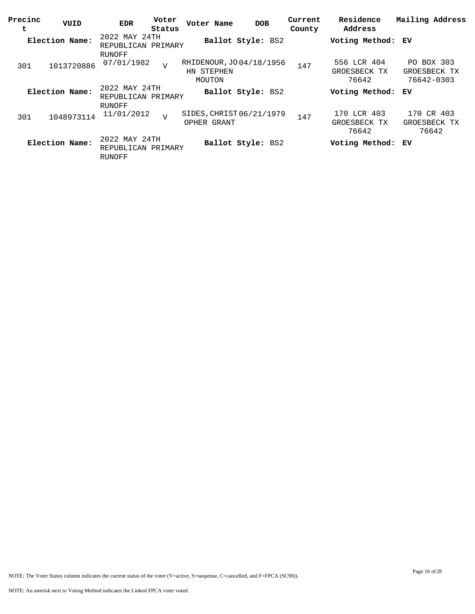| Precinc<br>t | VUID           | <b>EDR</b>                                    | Voter<br>Status | Voter Name                                       | <b>DOB</b>        | Current<br>County | Residence<br>Address                 | Mailing Address                          |
|--------------|----------------|-----------------------------------------------|-----------------|--------------------------------------------------|-------------------|-------------------|--------------------------------------|------------------------------------------|
|              | Election Name: | 2022 MAY 24TH<br>REPUBLICAN PRIMARY           |                 |                                                  | Ballot Style: BS2 |                   | Voting Method: EV                    |                                          |
| 301          | 1013720886     | RUNOFF<br>07/01/1982                          | $\overline{V}$  | RHIDENOUR, JO 04/18/1956<br>HN STEPHEN<br>MOUTON |                   | 147               | 556 LCR 404<br>GROESBECK TX<br>76642 | PO BOX 303<br>GROESBECK TX<br>76642-0303 |
|              | Election Name: | 2022 MAY 24TH<br>REPUBLICAN PRIMARY<br>RUNOFF |                 |                                                  | Ballot Style: BS2 |                   | Voting Method:                       | ЕV                                       |
| 301          | 1048973114     | 11/01/2012                                    | $\overline{V}$  | SIDES, CHRIST 06/21/1979<br>OPHER GRANT          |                   | 147               | 170 LCR 403<br>GROESBECK TX<br>76642 | CR 403<br>170<br>GROESBECK TX<br>76642   |
|              | Election Name: | 2022 MAY 24TH<br>REPUBLICAN PRIMARY<br>RUNOFF |                 |                                                  | Ballot Style: BS2 |                   | Voting Method: EV                    |                                          |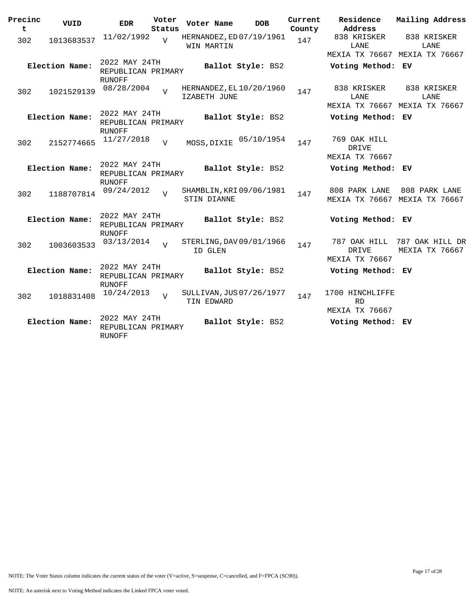| Precinc<br>t | VUID           | <b>EDR</b>                                           | Voter<br>Status | Voter Name         | <b>DOB</b>               | Current<br>County | Residence<br>Address                                  | Mailing Address                   |  |
|--------------|----------------|------------------------------------------------------|-----------------|--------------------|--------------------------|-------------------|-------------------------------------------------------|-----------------------------------|--|
| 302          | 1013683537     | 11/02/1992                                           | $\overline{z}$  | WIN MARTIN         | HERNANDEZ, ED 07/19/1961 | 147               | 838 KRISKER<br>LANE<br>MEXIA TX 76667 MEXIA TX 76667  | 838 KRISKER<br>LANE               |  |
|              | Election Name: | 2022 MAY 24TH<br>REPUBLICAN PRIMARY<br><b>RUNOFF</b> |                 |                    | Ballot Style: BS2        |                   | Voting Method: EV                                     |                                   |  |
| 302          | 1021529139     | 08/28/2004                                           |                 | IZABETH JUNE       | HERNANDEZ, EL 10/20/1960 | 147               | 838 KRISKER<br>LANE<br>MEXIA TX 76667 MEXIA TX 76667  | 838 KRISKER<br>LANE               |  |
|              | Election Name: | 2022 MAY 24TH<br>REPUBLICAN PRIMARY<br><b>RUNOFF</b> |                 |                    | Ballot Style: BS2        |                   | Voting Method: EV                                     |                                   |  |
| 302          | 2152774665     | 11/27/2018                                           | $\overline{V}$  | MOSS, DIXIE        | 05/10/1954               | 147               | 769 OAK HILL<br>DRIVE                                 |                                   |  |
|              | Election Name: | 2022 MAY 24TH<br>REPUBLICAN PRIMARY                  |                 |                    | Ballot Style: BS2        |                   | <b>MEXIA TX 76667</b><br>Voting Method: EV            |                                   |  |
| 302          | 1188707814     | <b>RUNOFF</b><br>09/24/2012                          | $\overline{I}$  | <b>STIN DIANNE</b> | SHAMBLIN, KRI 09/06/1981 | 147               | 808 PARK LANE<br>MEXIA TX 76667                       | 808 PARK LANE<br>MEXIA TX 76667   |  |
|              | Election Name: | 2022 MAY 24TH<br>REPUBLICAN PRIMARY                  |                 |                    | Ballot Style: BS2        |                   | Voting Method: EV                                     |                                   |  |
| 302          | 1003603533     | <b>RUNOFF</b><br>03/13/2014                          | $\overline{v}$  | ID GLEN            | STERLING, DAV 09/01/1966 | 147               | 787 OAK HILL<br>DRIVE<br><b>MEXIA TX 76667</b>        | 787 OAK HILL DR<br>MEXIA TX 76667 |  |
|              | Election Name: | 2022 MAY 24TH<br>REPUBLICAN PRIMARY<br><b>RUNOFF</b> |                 |                    | Ballot Style: BS2        |                   | Voting Method: EV                                     |                                   |  |
| 302          | 1018831408     | 10/24/2013                                           | $\overline{z}$  | TIN EDWARD         | SULLIVAN, JUS 07/26/1977 | 147               | 1700 HINCHLIFFE<br><b>RD</b><br><b>MEXIA TX 76667</b> |                                   |  |
|              | Election Name: | 2022 MAY 24TH<br>REPUBLICAN PRIMARY<br>RUNOFF        |                 |                    | Ballot Style: BS2        |                   | Voting Method: EV                                     |                                   |  |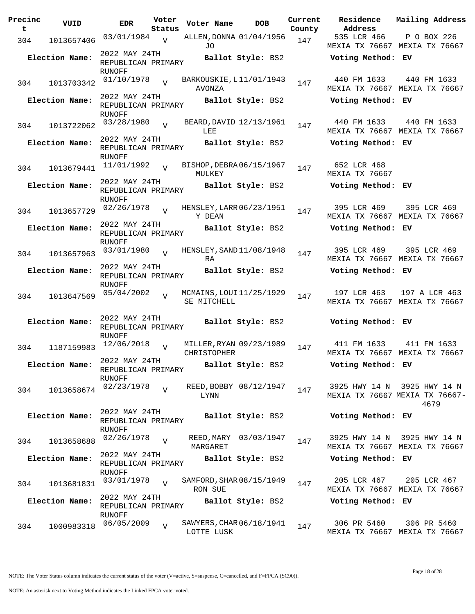| Precinc<br>t | VUID           | <b>EDR</b>                                           | Voter<br>Status | Voter Name                                    | <b>DOB</b>            | Current<br>County | Residence<br>Address          | Mailing Address                                                       |
|--------------|----------------|------------------------------------------------------|-----------------|-----------------------------------------------|-----------------------|-------------------|-------------------------------|-----------------------------------------------------------------------|
| 304          | 1013657406     | 03/01/1984                                           | $\overline{V}$  | ALLEN, DONNA 01/04/1956<br>JO                 |                       | 147               | 535 LCR 466                   | P O BOX 226<br>MEXIA TX 76667 MEXIA TX 76667                          |
|              | Election Name: | 2022 MAY 24TH<br>REPUBLICAN PRIMARY                  |                 |                                               | Ballot Style: BS2     |                   | Voting Method: EV             |                                                                       |
| 304          | 1013703342     | RUNOFF<br>01/10/1978                                 | $\overline{U}$  | BARKOUSKIE, L11/01/1943<br>AVONZA             |                       | 147               | 440 FM 1633                   | 440 FM 1633<br>MEXIA TX 76667 MEXIA TX 76667                          |
|              | Election Name: | 2022 MAY 24TH<br>REPUBLICAN PRIMARY<br>RUNOFF        |                 |                                               | Ballot Style: BS2     |                   | Voting Method: EV             |                                                                       |
| 304          | 1013722062     | 03/28/1980                                           |                 | BEARD, DAVID 12/13/1961<br>LEE                |                       | 147               | 440 FM 1633                   | 440 FM 1633<br>MEXIA TX 76667 MEXIA TX 76667                          |
|              | Election Name: | 2022 MAY 24TH<br>REPUBLICAN PRIMARY<br>RUNOFF        |                 |                                               | Ballot Style: BS2     |                   | Voting Method: EV             |                                                                       |
| 304          | 1013679441     | 11/01/1992                                           | $\overline{V}$  | BISHOP, DEBRA06/15/1967<br>MULKEY             |                       | 147               | 652 LCR 468<br>MEXIA TX 76667 |                                                                       |
|              | Election Name: | 2022 MAY 24TH<br>REPUBLICAN PRIMARY<br>RUNOFF        |                 |                                               | Ballot Style: BS2     |                   | Voting Method: EV             |                                                                       |
| 304          | 1013657729     | 02/26/1978                                           | $\overline{V}$  | HENSLEY, LARR 06/23/1951<br>Y DEAN            |                       | 147               | 395 LCR 469                   | 395 LCR 469<br>MEXIA TX 76667 MEXIA TX 76667                          |
|              | Election Name: | 2022 MAY 24TH<br>REPUBLICAN PRIMARY<br><b>RUNOFF</b> |                 |                                               | Ballot Style: BS2     |                   | Voting Method: EV             |                                                                       |
| 304          | 1013657963     | 03/01/1980                                           | $\overline{V}$  | HENSLEY, SAND 11/08/1948<br>RA                |                       | 147               | 395 LCR 469                   | 395 LCR 469<br>MEXIA TX 76667 MEXIA TX 76667                          |
|              | Election Name: | 2022 MAY 24TH<br>REPUBLICAN PRIMARY<br>RUNOFF        |                 |                                               | Ballot Style: BS2     |                   | Voting Method: EV             |                                                                       |
| 304          | 1013647569     | 05/04/2002                                           | $\overline{U}$  | MCMAINS, LOUI 11/25/1929<br>SE MITCHELL       |                       | 147               | 197 LCR 463                   | 197 A LCR 463<br>MEXIA TX 76667 MEXIA TX 76667                        |
|              | Election Name: | 2022 MAY 24TH<br>REPUBLICAN PRIMARY<br>RUNOFF        |                 |                                               | Ballot Style: BS2     |                   | Voting Method: EV             |                                                                       |
| 304          | 1187159983     | 12/06/2018                                           | $\overline{U}$  | MILLER, RYAN 09/23/1989<br><b>CHRISTOPHER</b> |                       | 147               | 411 FM 1633                   | 411 FM 1633<br>MEXIA TX 76667 MEXIA TX 76667                          |
|              | Election Name: | 2022 MAY 24TH<br>REPUBLICAN PRIMARY<br>RUNOFF        |                 |                                               | Ballot Style: BS2     |                   | Voting Method: EV             |                                                                       |
| 304          | 1013658674     | 02/23/1978                                           | $\overline{z}$  | REED, BOBBY 08/12/1947<br>LYNN                |                       | 147               |                               | 3925 HWY 14 N 3925 HWY 14 N<br>MEXIA TX 76667 MEXIA TX 76667-<br>4679 |
|              | Election Name: | 2022 MAY 24TH<br>REPUBLICAN PRIMARY<br>RUNOFF        |                 |                                               | Ballot Style: BS2     |                   | Voting Method: EV             |                                                                       |
| 304          | 1013658688     | 02/26/1978                                           | $\overline{V}$  | MARGARET                                      | REED, MARY 03/03/1947 | 147               | 3925 HWY 14 N                 | 3925 HWY 14 N<br>MEXIA TX 76667 MEXIA TX 76667                        |
|              | Election Name: | 2022 MAY 24TH<br>REPUBLICAN PRIMARY<br><b>RUNOFF</b> |                 |                                               | Ballot Style: BS2     |                   | Voting Method: EV             |                                                                       |
| 304          | 1013681831     | 03/01/1978                                           |                 | SAMFORD, SHAR 08/15/1949<br>RON SUE           |                       | 147               | 205 LCR 467                   | 205 LCR 467<br>MEXIA TX 76667 MEXIA TX 76667                          |
|              | Election Name: | 2022 MAY 24TH<br>REPUBLICAN PRIMARY<br><b>RUNOFF</b> |                 |                                               | Ballot Style: BS2     |                   | Voting Method: EV             |                                                                       |
| 304          | 1000983318     | 06/05/2009                                           | $\overline{V}$  | SAWYERS, CHAR 06/18/1941<br>LOTTE LUSK        |                       | 147               | 306 PR 5460                   | 306 PR 5460<br>MEXIA TX 76667 MEXIA TX 76667                          |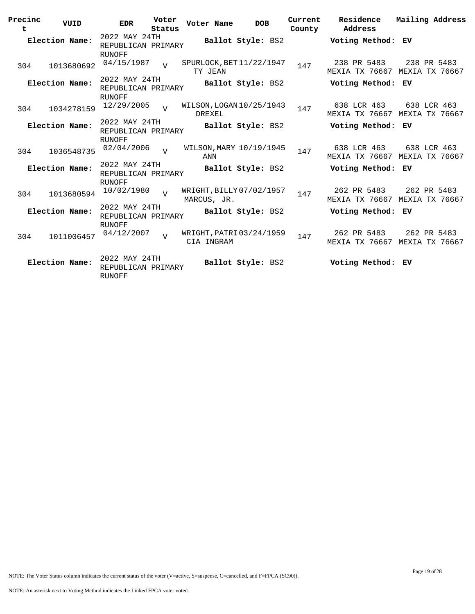| Precinc<br>t   | VUID           | <b>EDR</b>                                           | Voter<br>Status | Voter Name                                | <b>DOB</b>        | Current<br>County | Residence<br>Address          | Mailing Address                              |
|----------------|----------------|------------------------------------------------------|-----------------|-------------------------------------------|-------------------|-------------------|-------------------------------|----------------------------------------------|
|                | Election Name: | 2022 MAY 24TH<br>REPUBLICAN PRIMARY                  |                 |                                           | Ballot Style: BS2 |                   | Voting Method: EV             |                                              |
| 304            | 1013680692     | RUNOFF<br>04/15/1987                                 | $\overline{U}$  | SPURLOCK, BET 11/22/1947<br>TY JEAN       |                   | 147               | 238 PR 5483<br>MEXIA TX 76667 | 238 PR 5483<br>MEXIA TX 76667                |
|                | Election Name: | 2022 MAY 24TH<br>REPUBLICAN PRIMARY<br><b>RUNOFF</b> |                 |                                           | Ballot Style: BS2 |                   | Voting Method: EV             |                                              |
| 304            | 1034278159     | 12/29/2005                                           | $\overline{U}$  | WILSON, LOGAN 10/25/1943<br><b>DREXEL</b> |                   | 147               | 638 LCR 463<br>MEXIA TX 76667 | 638 LCR 463<br>MEXIA TX 76667                |
|                | Election Name: | 2022 MAY 24TH<br>REPUBLICAN PRIMARY<br><b>RUNOFF</b> |                 |                                           | Ballot Style: BS2 |                   | Voting Method: EV             |                                              |
| 304            | 1036548735     | 02/04/2006                                           | $\overline{V}$  | WILSON, MARY 10/19/1945<br>ANN            |                   | 147               | 638 LCR 463                   | 638 LCR 463<br>MEXIA TX 76667 MEXIA TX 76667 |
|                | Election Name: | 2022 MAY 24TH<br>REPUBLICAN PRIMARY<br><b>RUNOFF</b> |                 |                                           | Ballot Style: BS2 |                   | Voting Method: EV             |                                              |
| 304            | 1013680594     | 10/02/1980                                           | $\overline{z}$  | WRIGHT, BILLY 07/02/1957<br>MARCUS, JR.   |                   | 147               | 262 PR 5483<br>MEXIA TX 76667 | 262 PR 5483<br>MEXIA TX 76667                |
|                | Election Name: | 2022 MAY 24TH<br>REPUBLICAN PRIMARY<br>RUNOFF        |                 |                                           | Ballot Style: BS2 |                   | Voting Method: EV             |                                              |
| 304            | 1011006457     | 04/12/2007                                           | $\overline{U}$  | WRIGHT, PATRI 03/24/1959<br>CIA INGRAM    |                   | 147               | 262 PR 5483<br>MEXIA TX 76667 | 262 PR 5483<br>MEXIA TX 76667                |
| Election Name: |                | 2022 MAY 24TH<br>REPUBLICAN PRIMARY<br>RUNOFF        |                 |                                           | Ballot Style: BS2 |                   | Voting Method: EV             |                                              |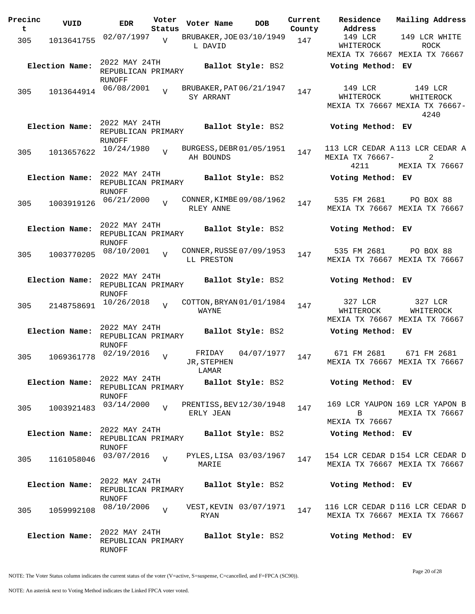| Precinc | VUID           | <b>EDR</b>                          | Voter          | Voter Name                            | <b>DOB</b>               | Current | Residence<br>Address                       | Mailing Address                                  |
|---------|----------------|-------------------------------------|----------------|---------------------------------------|--------------------------|---------|--------------------------------------------|--------------------------------------------------|
| t       |                | 02/07/1997                          | Status         | BRUBAKER, JOE 03/10/1949              |                          | County  | 149 LCR                                    | 149 LCR WHITE                                    |
| 305     | 1013641755     |                                     | $\overline{v}$ | L DAVID                               |                          | 147     | WHITEROCK                                  | <b>ROCK</b>                                      |
|         |                |                                     |                |                                       |                          |         | MEXIA TX 76667 MEXIA TX 76667              |                                                  |
|         | Election Name: | 2022 MAY 24TH                       |                |                                       | Ballot Style: BS2        |         | Voting Method: EV                          |                                                  |
|         |                | REPUBLICAN PRIMARY                  |                |                                       |                          |         |                                            |                                                  |
|         |                | RUNOFF<br>06/08/2001                |                | BRUBAKER, PAT 06/21/1947              |                          |         | 149 LCR                                    | 149 LCR                                          |
| 305     | 1013644914     |                                     | $\overline{z}$ | SY ARRANT                             |                          | 147     | WHITEROCK                                  | WHITEROCK                                        |
|         |                |                                     |                |                                       |                          |         |                                            | MEXIA TX 76667 MEXIA TX 76667-                   |
|         |                |                                     |                |                                       |                          |         |                                            | 4240                                             |
|         | Election Name: | 2022 MAY 24TH                       |                |                                       | Ballot Style: BS2        |         | Voting Method: EV                          |                                                  |
|         |                | REPUBLICAN PRIMARY<br>RUNOFF        |                |                                       |                          |         |                                            |                                                  |
| 305     | 1013657622     | 10/24/1980                          |                | BURGESS, DEBR 01/05/1951              |                          | 147     | 113 LCR CEDAR A 113 LCR CEDAR A            |                                                  |
|         |                |                                     |                | AH BOUNDS                             |                          |         | MEXIA TX 76667-                            | 2                                                |
|         |                |                                     |                |                                       |                          |         | 4211                                       | MEXIA TX 76667                                   |
|         | Election Name: | 2022 MAY 24TH                       |                |                                       | Ballot Style: BS2        |         | Voting Method: EV                          |                                                  |
|         |                | REPUBLICAN PRIMARY<br><b>RUNOFF</b> |                |                                       |                          |         |                                            |                                                  |
| 305     | 1003919126     | 06/21/2000                          | $\overline{z}$ | CONNER, KIMBE 09/08/1962              |                          | 147     | 535 FM 2681                                | PO BOX 88                                        |
|         |                |                                     |                | RLEY ANNE                             |                          |         | MEXIA TX 76667 MEXIA TX 76667              |                                                  |
|         |                | 2022 MAY 24TH                       |                |                                       |                          |         |                                            |                                                  |
|         | Election Name: | REPUBLICAN PRIMARY                  |                |                                       | Ballot Style: BS2        |         | Voting Method: EV                          |                                                  |
|         |                | <b>RUNOFF</b>                       |                |                                       |                          |         |                                            |                                                  |
| 305     | 1003770205     | 08/10/2001                          |                | CONNER, RUSSE 07/09/1953              |                          | 147     | 535 FM 2681                                | PO BOX 88                                        |
|         |                |                                     |                | LL PRESTON                            |                          |         | MEXIA TX 76667 MEXIA TX 76667              |                                                  |
|         |                | 2022 MAY 24TH                       |                |                                       |                          |         |                                            |                                                  |
|         | Election Name: | REPUBLICAN PRIMARY                  |                |                                       | Ballot Style: BS2        |         | Voting Method: EV                          |                                                  |
|         |                | RUNOFF                              |                |                                       |                          |         |                                            |                                                  |
| 305     | 2148758691     | 10/26/2018                          | $\overline{U}$ | COTTON, BRYAN 01/01/1984              |                          | 147     | 327 LCR                                    | 327 LCR                                          |
|         |                |                                     |                | WAYNE                                 |                          |         | WHITEROCK<br>MEXIA TX 76667 MEXIA TX 76667 | WHITEROCK                                        |
|         |                | 2022 MAY 24TH                       |                |                                       |                          |         |                                            |                                                  |
|         | Election Name: | REPUBLICAN PRIMARY                  |                |                                       | Ballot Style: BS2        |         | Voting Method: EV                          |                                                  |
|         |                | RUNOFF                              |                |                                       |                          |         |                                            |                                                  |
| 305     | 1069361778     | 02/19/2016                          | $\overline{U}$ | FRIDAY                                | 04/07/1977               | 147     | 671 FM 2681                                | 671 FM 2681<br>MEXIA TX 76667 MEXIA TX 76667     |
|         |                |                                     |                | JR, STEPHEN<br>LAMAR                  |                          |         |                                            |                                                  |
|         | Election Name: | 2022 MAY 24TH                       |                |                                       | <b>Ballot Style:</b> BS2 |         | Voting Method: EV                          |                                                  |
|         |                | REPUBLICAN PRIMARY                  |                |                                       |                          |         |                                            |                                                  |
|         |                | RUNOFF                              |                |                                       |                          |         |                                            |                                                  |
| 305     | 1003921483     | 03/14/2000                          |                | PRENTISS, BEV 12/30/1948<br>ERLY JEAN |                          | 147     | $\mathbf{B}$                               | 169 LCR YAUPON 169 LCR YAPON B<br>MEXIA TX 76667 |
|         |                |                                     |                |                                       |                          |         | MEXIA TX 76667                             |                                                  |
|         | Election Name: | 2022 MAY 24TH                       |                |                                       | Ballot Style: BS2        |         | Voting Method: EV                          |                                                  |
|         |                | REPUBLICAN PRIMARY                  |                |                                       |                          |         |                                            |                                                  |
|         |                | RUNOFF<br>03/07/2016                |                |                                       | PYLES, LISA 03/03/1967   |         | 154 LCR CEDAR D154 LCR CEDAR D             |                                                  |
| 305     | 1161058046     |                                     | $\overline{U}$ | MARIE                                 |                          | 147     |                                            | MEXIA TX 76667 MEXIA TX 76667                    |
|         |                |                                     |                |                                       |                          |         |                                            |                                                  |
|         | Election Name: | 2022 MAY 24TH                       |                |                                       | Ballot Style: BS2        |         | Voting Method: EV                          |                                                  |
|         |                | REPUBLICAN PRIMARY<br>RUNOFF        |                |                                       |                          |         |                                            |                                                  |
|         |                | 08/10/2006                          | $\overline{U}$ |                                       | VEST, KEVIN 03/07/1971   | 147     | 116 LCR CEDAR D116 LCR CEDAR D             |                                                  |
| 305     | 1059992108     |                                     |                | RYAN                                  |                          |         |                                            | MEXIA TX 76667 MEXIA TX 76667                    |
|         |                |                                     |                |                                       |                          |         |                                            |                                                  |
|         | Election Name: | 2022 MAY 24TH<br>REPUBLICAN PRIMARY |                |                                       | Ballot Style: BS2        |         | Voting Method: EV                          |                                                  |
|         |                | RUNOFF                              |                |                                       |                          |         |                                            |                                                  |

Page 20 of 28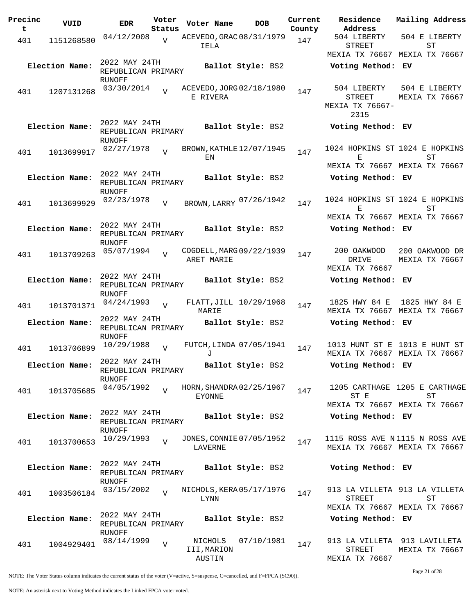| Precinc<br>t | VUID           | <b>EDR</b>                                           | Voter<br>Status | Voter Name                                | <b>DOB</b>        | Current<br>County | Residence<br>Address                             | Mailing Address                                                                       |
|--------------|----------------|------------------------------------------------------|-----------------|-------------------------------------------|-------------------|-------------------|--------------------------------------------------|---------------------------------------------------------------------------------------|
| 401          | 1151268580     | 04/12/2008                                           | $\overline{V}$  | ACEVEDO, GRAC 08/31/1979<br>IELA          |                   | 147               | 504 LIBERTY<br>STREET                            | 504 E LIBERTY<br>ST                                                                   |
|              |                |                                                      |                 |                                           |                   |                   |                                                  | MEXIA TX 76667 MEXIA TX 76667                                                         |
|              | Election Name: | 2022 MAY 24TH<br>REPUBLICAN PRIMARY                  |                 |                                           | Ballot Style: BS2 |                   | Voting Method: EV                                |                                                                                       |
| 401          | 1207131268     | RUNOFF<br>03/30/2014                                 | $\overline{V}$  | ACEVEDO, JORG 02/18/1980<br>E RIVERA      |                   | 147               | 504 LIBERTY<br>STREET<br>MEXIA TX 76667-<br>2315 | 504 E LIBERTY<br>MEXIA TX 76667                                                       |
|              | Election Name: | 2022 MAY 24TH<br>REPUBLICAN PRIMARY                  |                 |                                           | Ballot Style: BS2 |                   | Voting Method: EV                                |                                                                                       |
| 401          | 1013699917     | RUNOFF<br>02/27/1978                                 | $\overline{V}$  | BROWN, KATHLE 12/07/1945<br>ΕN            |                   | 147               | 1024 HOPKINS ST 1024 E HOPKINS<br>Е              | SТ                                                                                    |
|              | Election Name: | 2022 MAY 24TH<br>REPUBLICAN PRIMARY<br>RUNOFF        |                 |                                           | Ballot Style: BS2 |                   | Voting Method: EV                                | MEXIA TX 76667 MEXIA TX 76667                                                         |
| 401          | 1013699929     | 02/23/1978                                           | V               | BROWN, LARRY 07/26/1942                   |                   | 147               | 1024 HOPKINS ST 1024 E HOPKINS<br>Е.             | ST                                                                                    |
|              | Election Name: | 2022 MAY 24TH<br>REPUBLICAN PRIMARY                  |                 |                                           | Ballot Style: BS2 |                   | Voting Method: EV                                | MEXIA TX 76667 MEXIA TX 76667                                                         |
| 401          | 1013709263     | RUNOFF<br>05/07/1994                                 | $\overline{U}$  | COGDELL, MARG 09/22/1939<br>ARET MARIE    |                   | 147               | 200 OAKWOOD<br>DRIVE<br>MEXIA TX 76667           | 200 OAKWOOD DR<br>MEXIA TX 76667                                                      |
|              | Election Name: | 2022 MAY 24TH<br>REPUBLICAN PRIMARY<br>RUNOFF        |                 |                                           | Ballot Style: BS2 |                   | Voting Method: EV                                |                                                                                       |
| 401          | 1013701371     | 04/24/1993                                           | $\overline{V}$  | FLATT, JILL $10/29/1968$<br>MARIE         |                   | 147               | 1825 HWY 84 E                                    | 1825 HWY 84 E<br>MEXIA TX 76667 MEXIA TX 76667                                        |
|              | Election Name: | 2022 MAY 24TH<br>REPUBLICAN PRIMARY<br>RUNOFF        |                 |                                           | Ballot Style: BS2 |                   | Voting Method: EV                                |                                                                                       |
| 401          | 1013706899     | 10/29/1988                                           | $\overline{U}$  | FUTCH, LINDA 07/05/1941<br>J              |                   | 147               |                                                  | 1013 HUNT ST E 1013 E HUNT ST<br>MEXIA TX 76667 MEXIA TX 76667                        |
|              | Election Name: | 2022 MAY 24TH<br>REPUBLICAN PRIMARY<br>RUNOFF        |                 |                                           | Ballot Style: BS2 |                   | Voting Method: EV                                |                                                                                       |
| 401          | 1013705685     | 04/05/1992                                           |                 | HORN, SHANDRA 02/25/1967<br><b>EYONNE</b> |                   | 147               | ST E                                             | 1205 CARTHAGE 1205 E CARTHAGE<br>$\operatorname{ST}$<br>MEXIA TX 76667 MEXIA TX 76667 |
|              | Election Name: | 2022 MAY 24TH<br>REPUBLICAN PRIMARY<br>RUNOFF        |                 |                                           | Ballot Style: BS2 |                   | Voting Method: EV                                |                                                                                       |
| 401          | 1013700653     | 10/29/1993                                           | $\overline{V}$  | JONES, CONNIE 07/05/1952<br>LAVERNE       |                   | 147               |                                                  | 1115 ROSS AVE N1115 N ROSS AVE<br>MEXIA TX 76667 MEXIA TX 76667                       |
|              | Election Name: | 2022 MAY 24TH<br>REPUBLICAN PRIMARY<br>RUNOFF        |                 |                                           | Ballot Style: BS2 |                   | Voting Method: EV                                |                                                                                       |
| 401          | 1003506184     | 03/15/2002                                           |                 | NICHOLS, KERA 05/17/1976<br>LYNN          |                   | 147               | STREET                                           | 913 LA VILLETA 913 LA VILLETA<br><b>ST</b><br>MEXIA TX 76667 MEXIA TX 76667           |
|              | Election Name: | 2022 MAY 24TH<br>REPUBLICAN PRIMARY<br><b>RUNOFF</b> |                 |                                           | Ballot Style: BS2 |                   | Voting Method: EV                                |                                                                                       |
| 401          | 1004929401     | 08/14/1999                                           | $\overline{V}$  | NICHOLS<br>III, MARION<br>AUSTIN          | 07/10/1981        | 147               | STREET<br>MEXIA TX 76667                         | 913 LA VILLETA 913 LAVILLETA<br>MEXIA TX 76667                                        |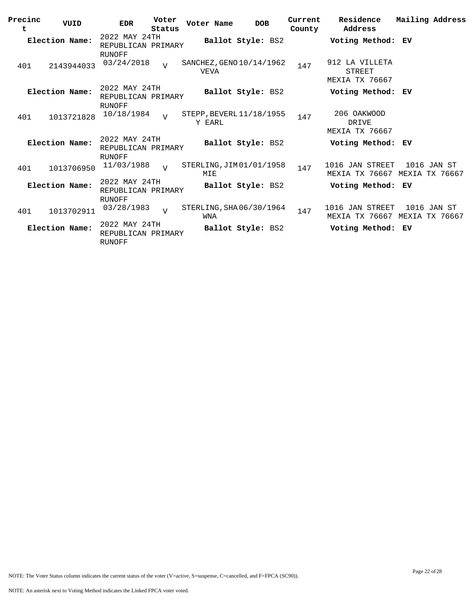| Precinc<br>t | VUID           | Voter<br><b>EDR</b><br>Status                 | Voter Name  | <b>DOB</b>               | Current<br>County | Residence<br>Address                             | Mailing Address |
|--------------|----------------|-----------------------------------------------|-------------|--------------------------|-------------------|--------------------------------------------------|-----------------|
|              | Election Name: | 2022 MAY 24TH<br>REPUBLICAN PRIMARY<br>RUNOFF |             | Ballot Style: BS2        |                   | Voting Method: EV                                |                 |
| 401          | 2143944033     | 03/24/2018<br>$\overline{V}$                  | <b>VEVA</b> | SANCHEZ, GENO 10/14/1962 | 147               | 912 LA VILLETA<br>STREET<br>MEXIA TX 76667       |                 |
|              | Election Name: | 2022 MAY 24TH<br>REPUBLICAN PRIMARY<br>RUNOFF |             | Ballot Style: BS2        |                   | Voting Method: EV                                |                 |
| 401          | 1013721828     | 10/18/1984<br>$\overline{v}$                  | Y EARL      | STEPP, BEVERL 11/18/1955 | 147               | 206 OAKWOOD<br>DRIVE<br>MEXIA TX 76667           |                 |
|              | Election Name: | 2022 MAY 24TH<br>REPUBLICAN PRIMARY<br>RUNOFF |             | Ballot Style: BS2        |                   | Voting Method: EV                                |                 |
| 401          | 1013706950     | 11/03/1988<br>$\overline{U}$                  | MIE         | STERLING, JIM 01/01/1958 | 147               | 1016 JAN STREET<br>MEXIA TX 76667 MEXIA TX 76667 | 1016 JAN ST     |
|              | Election Name: | 2022 MAY 24TH<br>REPUBLICAN PRIMARY<br>RUNOFF |             | Ballot Style: BS2        |                   | Voting Method: EV                                |                 |
| 401          | 1013702911     | 03/28/1983<br>$\overline{V}$                  | WNA         | STERLING, SHA06/30/1964  | 147               | 1016 JAN STREET<br>MEXIA TX 76667 MEXIA TX 76667 | 1016 JAN ST     |
|              | Election Name: | 2022 MAY 24TH<br>REPUBLICAN PRIMARY<br>RUNOFF |             | Ballot Style: BS2        |                   | Voting Method: EV                                |                 |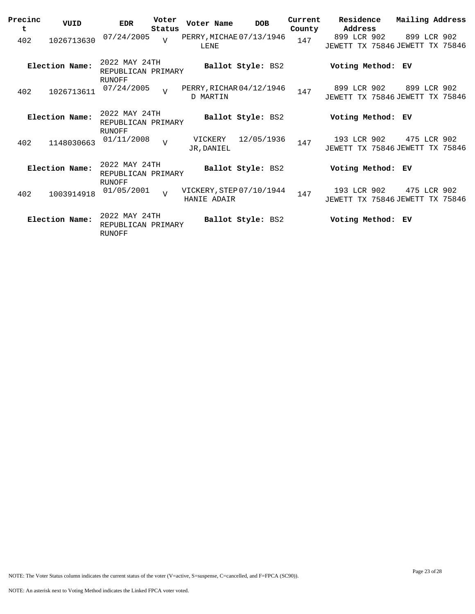| Precinc<br>t | VUID           | <b>EDR</b>                                           | Voter<br>Status | Voter Name                              | <b>DOB</b>        | Current<br>County | Residence<br>Address                           | Mailing Address |  |
|--------------|----------------|------------------------------------------------------|-----------------|-----------------------------------------|-------------------|-------------------|------------------------------------------------|-----------------|--|
| 402          | 1026713630     | 07/24/2005                                           | $\overline{v}$  | PERRY, MICHAE 07/13/1946<br>LENE        |                   | 147               | 899 LCR 902<br>JEWETT TX 75846 JEWETT TX 75846 | 899 LCR 902     |  |
|              | Election Name: | 2022 MAY 24TH<br>REPUBLICAN PRIMARY<br><b>RUNOFF</b> |                 |                                         | Ballot Style: BS2 |                   | Voting Method:                                 | ЕV              |  |
| 402          | 1026713611     | 07/24/2005                                           | $\overline{U}$  | PERRY, RICHAR 04/12/1946<br>D MARTIN    |                   | 147               | 899 LCR 902<br>JEWETT TX 75846 JEWETT TX 75846 | 899 LCR 902     |  |
|              | Election Name: | 2022 MAY 24TH<br>REPUBLICAN PRIMARY<br>RUNOFF        |                 |                                         | Ballot Style: BS2 |                   | Voting Method: EV                              |                 |  |
| 402          | 1148030663     | 01/11/2008                                           | $\overline{U}$  | VICKERY<br>JR, DANIEL                   | 12/05/1936        | 147               | 193 LCR 902<br>JEWETT TX 75846 JEWETT TX 75846 | 475 LCR 902     |  |
|              | Election Name: | 2022 MAY 24TH<br>REPUBLICAN PRIMARY<br><b>RUNOFF</b> |                 |                                         | Ballot Style: BS2 |                   | Voting Method: EV                              |                 |  |
| 402          | 1003914918     | 01/05/2001                                           | $\overline{V}$  | VICKERY, STEP 07/10/1944<br>HANIE ADAIR |                   | 147               | 193 LCR 902<br>JEWETT TX 75846 JEWETT TX 75846 | 475 LCR 902     |  |
|              | Election Name: | 2022 MAY 24TH<br>REPUBLICAN PRIMARY<br>RUNOFF        |                 |                                         | Ballot Style: BS2 |                   | Voting Method: EV                              |                 |  |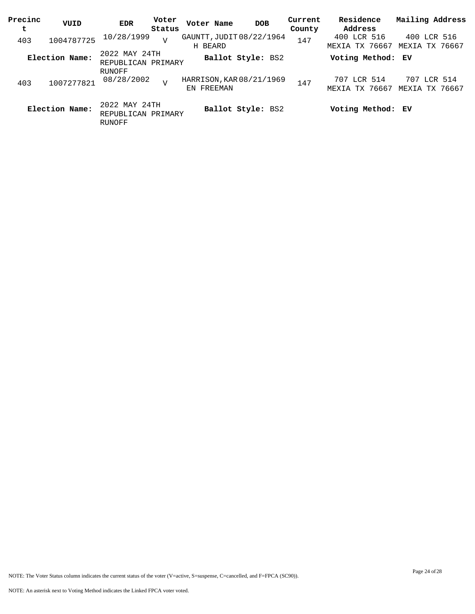| Precinc<br>t | VUID           | <b>EDR</b>                                    | Voter<br>Status | Voter Name | <b>DOB</b>               | Current<br>County | Residence<br>Address          | Mailing Address               |
|--------------|----------------|-----------------------------------------------|-----------------|------------|--------------------------|-------------------|-------------------------------|-------------------------------|
| 403          | 1004787725     | 10/28/1999                                    | $\overline{V}$  | H BEARD    | GAUNTT, JUDIT 08/22/1964 | 147               | 400 LCR 516<br>MEXIA TX 76667 | 400 LCR 516<br>MEXIA TX 76667 |
|              | Election Name: | 2022 MAY 24TH<br>REPUBLICAN PRIMARY           |                 |            | Ballot Style: BS2        |                   | Voting Method: EV             |                               |
| 403          | 1007277821     | RUNOFF<br>08/28/2002                          | $\overline{U}$  | EN FREEMAN | HARRISON, KAR 08/21/1969 | 147               | 707 LCR 514<br>MEXIA TX 76667 | 707 LCR 514<br>MEXIA TX 76667 |
|              | Election Name: | 2022 MAY 24TH<br>REPUBLICAN PRIMARY<br>RUNOFF |                 |            | Ballot Style: BS2        |                   | Voting Method: EV             |                               |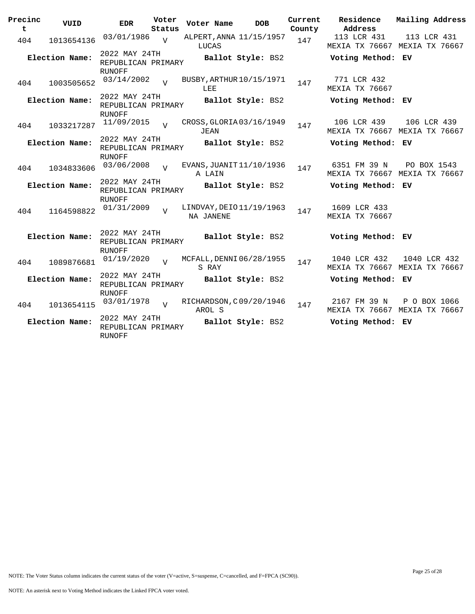| Precinc<br>t   | VUID           | <b>EDR</b>                                           | Voter<br>Status | Voter Name | <b>DOB</b>               | Current<br>County | Residence<br>Address                 | Mailing Address                               |
|----------------|----------------|------------------------------------------------------|-----------------|------------|--------------------------|-------------------|--------------------------------------|-----------------------------------------------|
| 404            | 1013654136     | 03/01/1986                                           | $\overline{v}$  | LUCAS      | ALPERT, ANNA 11/15/1957  | 147               | 113 LCR 431                          | 113 LCR 431<br>MEXIA TX 76667 MEXIA TX 76667  |
| Election Name: |                | 2022 MAY 24TH<br>REPUBLICAN PRIMARY<br><b>RUNOFF</b> |                 |            | Ballot Style: BS2        |                   | Voting Method: EV                    |                                               |
| 404            | 1003505652     | 03/14/2002                                           | $\overline{z}$  | LEE        | BUSBY, ARTHUR 10/15/1971 | 147               | 771 LCR 432<br><b>MEXIA TX 76667</b> |                                               |
|                | Election Name: | 2022 MAY 24TH<br>REPUBLICAN PRIMARY<br><b>RUNOFF</b> |                 |            | Ballot Style: BS2        |                   | Voting Method: EV                    |                                               |
| 404            | 1033217287     | 11/09/2015                                           | $\overline{U}$  | JEAN       | CROSS, GLORIA 03/16/1949 | 147               | 106 LCR 439                          | 106 LCR 439<br>MEXIA TX 76667 MEXIA TX 76667  |
|                | Election Name: | 2022 MAY 24TH<br>REPUBLICAN PRIMARY<br>RUNOFF        |                 |            | Ballot Style: BS2        |                   | Voting Method: EV                    |                                               |
| 404            | 1034833606     | 03/06/2008                                           | $\overline{U}$  | A LAIN     | EVANS, JUANIT 11/10/1936 | 147               | 6351 FM 39 N                         | PO BOX 1543<br>MEXIA TX 76667 MEXIA TX 76667  |
| Election Name: |                | 2022 MAY 24TH<br>REPUBLICAN PRIMARY<br>RUNOFF        |                 |            | Ballot Style: BS2        |                   | Voting Method: EV                    |                                               |
| 404            | 1164598822     | 01/31/2009                                           | $\overline{z}$  | NA JANENE  | LINDVAY, DEIO 11/19/1963 | 147               | 1609 LCR 433<br>MEXIA TX 76667       |                                               |
|                | Election Name: | 2022 MAY 24TH<br>REPUBLICAN PRIMARY<br>RUNOFF        |                 |            | Ballot Style: BS2        |                   | Voting Method: EV                    |                                               |
| 404            | 1089876681     | 01/19/2020                                           | $\overline{U}$  | S RAY      | MCFALL, DENNI 06/28/1955 | 147               | 1040 LCR 432                         | 1040 LCR 432<br>MEXIA TX 76667 MEXIA TX 76667 |
| Election Name: |                | 2022 MAY 24TH<br>REPUBLICAN PRIMARY<br><b>RUNOFF</b> |                 |            | Ballot Style: BS2        |                   | Voting Method: EV                    |                                               |
| 404            | 1013654115     | 03/01/1978                                           | $\overline{V}$  | AROL S     | RICHARDSON, C09/20/1946  | 147               | 2167 FM 39 N                         | P O BOX 1066<br>MEXIA TX 76667 MEXIA TX 76667 |
| Election Name: |                | 2022 MAY 24TH<br>REPUBLICAN PRIMARY<br><b>RUNOFF</b> |                 |            | Ballot Style: BS2        |                   | Voting Method: EV                    |                                               |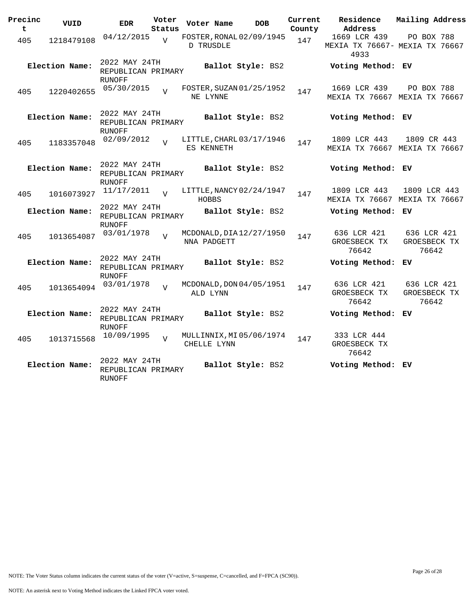| Precinc<br>t   | VUID           | <b>EDR</b>                                           | Voter<br>Status | Voter Name   | <b>DOB</b>               | Current<br>County | Residence<br>Address                                   | Mailing Address                      |  |
|----------------|----------------|------------------------------------------------------|-----------------|--------------|--------------------------|-------------------|--------------------------------------------------------|--------------------------------------|--|
| 405            | 1218479108     | 04/12/2015                                           | $\overline{V}$  | D TRUSDLE    | FOSTER, RONAL 02/09/1945 | 147               | 1669 LCR 439<br>MEXIA TX 76667- MEXIA TX 76667<br>4933 | PO BOX 788                           |  |
|                | Election Name: | 2022 MAY 24TH<br>REPUBLICAN PRIMARY<br><b>RUNOFF</b> |                 |              | Ballot Style: BS2        |                   | Voting Method: EV                                      |                                      |  |
| 405            | 1220402655     | 05/30/2015                                           |                 | NE LYNNE     | FOSTER, SUZAN 01/25/1952 | 147               | 1669 LCR 439<br>MEXIA TX 76667 MEXIA TX 76667          | PO BOX 788                           |  |
|                | Election Name: | 2022 MAY 24TH<br>REPUBLICAN PRIMARY<br><b>RUNOFF</b> |                 |              | Ballot Style: BS2        |                   | Voting Method: EV                                      |                                      |  |
| 405            | 1183357048     | 02/09/2012                                           | $\overline{z}$  | ES KENNETH   | LITTLE, CHARL 03/17/1946 | 147               | 1809 LCR 443<br>MEXIA TX 76667 MEXIA TX 76667          | 1809 CR 443                          |  |
|                | Election Name: | 2022 MAY 24TH<br>REPUBLICAN PRIMARY<br><b>RUNOFF</b> |                 |              | Ballot Style: BS2        |                   | Voting Method: EV                                      |                                      |  |
| 405            | 1016073927     | 11/17/2011                                           | $\overline{17}$ | <b>HOBBS</b> | LITTLE, NANCY 02/24/1947 | 147               | 1809 LCR 443<br>MEXIA TX 76667 MEXIA TX 76667          | 1809 LCR 443                         |  |
| Election Name: |                | 2022 MAY 24TH<br>REPUBLICAN PRIMARY<br><b>RUNOFF</b> |                 |              | Ballot Style: BS2        |                   | Voting Method: EV                                      |                                      |  |
| 405            | 1013654087     | 03/01/1978                                           | $\overline{17}$ | NNA PADGETT  | MCDONALD, DIA 12/27/1950 | 147               | 636 LCR 421<br>GROESBECK TX<br>76642                   | 636 LCR 421<br>GROESBECK TX<br>76642 |  |
|                | Election Name: | 2022 MAY 24TH<br>REPUBLICAN PRIMARY<br><b>RUNOFF</b> |                 |              | Ballot Style: BS2        |                   | Voting Method:                                         | EV.                                  |  |
| 405            | 1013654094     | 03/01/1978                                           | $\overline{z}$  | ALD LYNN     | MCDONALD, DON 04/05/1951 | 147               | 636 LCR 421<br>GROESBECK TX<br>76642                   | 636 LCR 421<br>GROESBECK TX<br>76642 |  |
|                | Election Name: | 2022 MAY 24TH<br>REPUBLICAN PRIMARY<br><b>RUNOFF</b> |                 |              | Ballot Style: BS2        |                   | Voting Method: EV                                      |                                      |  |
| 405            | 1013715568     | 10/09/1995                                           | $\overline{U}$  | CHELLE LYNN  | MULLINNIX, MI 05/06/1974 | 147               | 333 LCR 444<br>GROESBECK TX<br>76642                   |                                      |  |
|                | Election Name: | 2022 MAY 24TH<br>REPUBLICAN PRIMARY<br>RUNOFF        |                 |              | Ballot Style: BS2        |                   | Voting Method: EV                                      |                                      |  |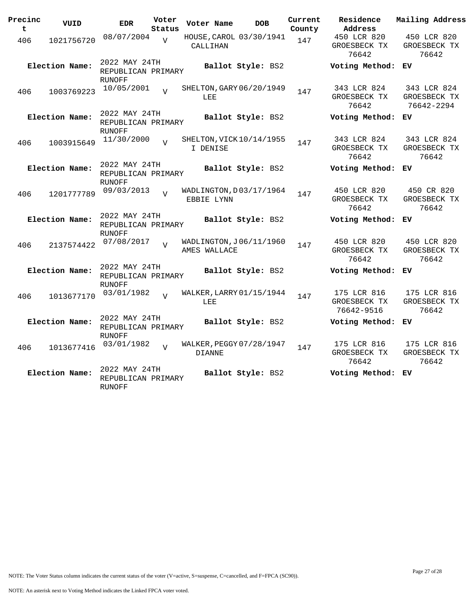| Precinc<br>t   | VUID           | <b>EDR</b>                                           | Voter<br>Status | Voter Name    | <b>DOB</b>               | Current<br>County | Residence<br>Address                      | Mailing Address                           |
|----------------|----------------|------------------------------------------------------|-----------------|---------------|--------------------------|-------------------|-------------------------------------------|-------------------------------------------|
| 406            | 1021756720     | 08/07/2004                                           | $\overline{U}$  | CALLIHAN      | HOUSE, CAROL 03/30/1941  | 147               | 450 LCR 820<br>GROESBECK TX<br>76642      | 450 LCR 820<br>GROESBECK TX<br>76642      |
|                | Election Name: | 2022 MAY 24TH<br>REPUBLICAN PRIMARY<br><b>RUNOFF</b> |                 |               | Ballot Style: BS2        |                   | Voting Method:                            | ЕV                                        |
| 406            | 1003769223     | 10/05/2001                                           | $\overline{z}$  | LEE           | SHELTON, GARY 06/20/1949 | 147               | 343 LCR 824<br>GROESBECK TX<br>76642      | 343 LCR 824<br>GROESBECK TX<br>76642-2294 |
|                | Election Name: | 2022 MAY 24TH<br>REPUBLICAN PRIMARY<br><b>RUNOFF</b> |                 |               | Ballot Style: BS2        |                   | Voting Method:                            | ЕV                                        |
| 406            | 1003915649     | 11/30/2000                                           | $\overline{17}$ | I DENISE      | SHELTON, VICK 10/14/1955 | 147               | 343 LCR 824<br>GROESBECK TX<br>76642      | 343 LCR 824<br>GROESBECK TX<br>76642      |
|                | Election Name: | 2022 MAY 24TH<br>REPUBLICAN PRIMARY<br><b>RUNOFF</b> |                 |               | Ballot Style: BS2        |                   | Voting Method:                            | ЕV                                        |
| 406            | 1201777789     | 09/03/2013                                           |                 | EBBIE LYNN    | WADLINGTON, D03/17/1964  | 147               | 450 LCR 820<br>GROESBECK TX<br>76642      | 450 CR 820<br>GROESBECK TX<br>76642       |
| Election Name: |                | 2022 MAY 24TH<br>REPUBLICAN PRIMARY<br><b>RUNOFF</b> |                 |               | Ballot Style: BS2        |                   | Voting Method:                            | ЕV                                        |
| 406            | 2137574422     | 07/08/2017                                           | $\overline{U}$  | AMES WALLACE  | WADLINGTON, J06/11/1960  | 147               | 450 LCR 820<br>GROESBECK TX<br>76642      | 450 LCR 820<br>GROESBECK TX<br>76642      |
|                | Election Name: | 2022 MAY 24TH<br>REPUBLICAN PRIMARY<br><b>RUNOFF</b> |                 |               | Ballot Style: BS2        |                   | Voting Method: EV                         |                                           |
| 406            | 1013677170     | 03/01/1982                                           | $\overline{V}$  | LEE           | WALKER, LARRY 01/15/1944 | 147               | 175 LCR 816<br>GROESBECK TX<br>76642-9516 | 175 LCR 816<br>GROESBECK TX<br>76642      |
|                | Election Name: | 2022 MAY 24TH<br>REPUBLICAN PRIMARY<br><b>RUNOFF</b> |                 |               | Ballot Style: BS2        |                   | Voting Method:                            | ЕV                                        |
| 406            | 1013677416     | 03/01/1982                                           | $\overline{U}$  | <b>DIANNE</b> | WALKER, PEGGY 07/28/1947 | 147               | 175 LCR 816<br>GROESBECK TX<br>76642      | 175 LCR 816<br>GROESBECK TX<br>76642      |
|                | Election Name: | 2022 MAY 24TH<br>REPUBLICAN PRIMARY<br><b>RUNOFF</b> |                 |               | Ballot Style: BS2        |                   | Voting Method:                            | ЕV                                        |